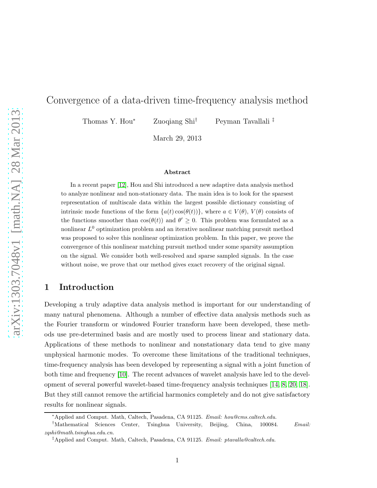# Convergence of a data-driven time-frequency analysis method

Thomas Y. Hou<sup>∗</sup> Zuoqiang Shi† Peyman Tavallali ‡

March 29, 2013

#### Abstract

In a recent paper [\[12\]](#page-36-0), Hou and Shi introduced a new adaptive data analysis method to analyze nonlinear and non-stationary data. The main idea is to look for the sparsest representation of multiscale data within the largest possible dictionary consisting of intrinsic mode functions of the form  $\{a(t)\cos(\theta(t))\}$ , where  $a \in V(\theta)$ ,  $V(\theta)$  consists of the functions smoother than  $cos(\theta(t))$  and  $\theta' \geq 0$ . This problem was formulated as a nonlinear  $L^0$  optimization problem and an iterative nonlinear matching pursuit method was proposed to solve this nonlinear optimization problem. In this paper, we prove the convergence of this nonlinear matching pursuit method under some sparsity assumption on the signal. We consider both well-resolved and sparse sampled signals. In the case without noise, we prove that our method gives exact recovery of the original signal.

# 1 Introduction

Developing a truly adaptive data analysis method is important for our understanding of many natural phenomena. Although a number of effective data analysis methods such as the Fourier transform or windowed Fourier transform have been developed, these methods use pre-determined basis and are mostly used to process linear and stationary data. Applications of these methods to nonlinear and nonstationary data tend to give many unphysical harmonic modes. To overcome these limitations of the traditional techniques, time-frequency analysis has been developed by representing a signal with a joint function of both time and frequency [\[10\]](#page-36-1). The recent advances of wavelet analysis have led to the development of several powerful wavelet-based time-frequency analysis techniques [\[14,](#page-36-2) [8,](#page-36-3) [20,](#page-37-0) [18\]](#page-37-1). But they still cannot remove the artificial harmonics completely and do not give satisfactory results for nonlinear signals.

<sup>∗</sup>Applied and Comput. Math, Caltech, Pasadena, CA 91125. *Email: hou@cms.caltech.edu.*

<sup>†</sup>Mathematical Sciences Center, Tsinghua University, Beijing, China, 100084. *Email: zqshi@math.tsinghua.edu.cn.*

<sup>‡</sup>Applied and Comput. Math, Caltech, Pasadena, CA 91125. *Email: ptavalla@caltech.edu.*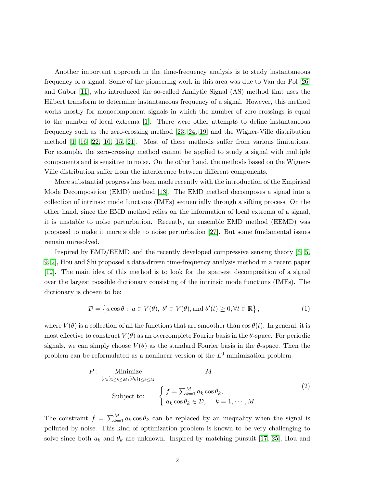Another important approach in the time-frequency analysis is to study instantaneous frequency of a signal. Some of the pioneering work in this area was due to Van der Pol [\[26\]](#page-37-2) and Gabor [\[11\]](#page-36-4), who introduced the so-called Analytic Signal (AS) method that uses the Hilbert transform to determine instantaneous frequency of a signal. However, this method works mostly for monocomponent signals in which the number of zero-crossings is equal to the number of local extrema [\[1\]](#page-35-0). There were other attempts to define instantaneous frequency such as the zero-crossing method [\[23,](#page-37-3) [24,](#page-37-4) [19\]](#page-37-5) and the Wigner-Ville distribution method [\[1,](#page-35-0) [16,](#page-36-5) [22,](#page-37-6) [10,](#page-36-1) [15,](#page-36-6) [21\]](#page-37-7). Most of these methods suffer from various limitations. For example, the zero-crossing method cannot be applied to study a signal with multiple components and is sensitive to noise. On the other hand, the methods based on the Wigner-Ville distribution suffer from the interference between different components.

More substantial progress has been made recently with the introduction of the Empirical Mode Decomposition (EMD) method [\[13\]](#page-36-7). The EMD method decomposes a signal into a collection of intrinsic mode functions (IMFs) sequentially through a sifting process. On the other hand, since the EMD method relies on the information of local extrema of a signal, it is unstable to noise perturbation. Recently, an ensemble EMD method (EEMD) was proposed to make it more stable to noise perturbation [\[27\]](#page-37-8). But some fundamental issues remain unresolved.

Inspired by EMD/EEMD and the recently developed compressive sensing theory [\[6,](#page-36-8) [5,](#page-36-9) [9,](#page-36-10) [2\]](#page-35-1), Hou and Shi proposed a data-driven time-frequency analysis method in a recent paper [\[12\]](#page-36-0). The main idea of this method is to look for the sparsest decomposition of a signal over the largest possible dictionary consisting of the intrinsic mode functions (IMFs). The dictionary is chosen to be:

$$
\mathcal{D} = \left\{ a \cos \theta : \ a \in V(\theta), \ \theta' \in V(\theta), \text{and } \theta'(t) \ge 0, \forall t \in \mathbb{R} \right\},\tag{1}
$$

where  $V(\theta)$  is a collection of all the functions that are smoother than  $\cos \theta(t)$ . In general, it is most effective to construct  $V(\theta)$  as an overcomplete Fourier basis in the  $\theta$ -space. For periodic signals, we can simply choose  $V(\theta)$  as the standard Fourier basis in the  $\theta$ -space. Then the problem can be reformulated as a nonlinear version of the  $L^0$  minimization problem.

$$
P: \underset{(a_k)_{1 \le k \le M}, (\theta_k)_{1 \le k \le M}}{\text{Minimize}} \qquad M
$$
\n
$$
\text{Subject to:} \qquad \begin{cases} f = \sum_{k=1}^{M} a_k \cos \theta_k, \\ a_k \cos \theta_k \in \mathcal{D}, \quad k = 1, \cdots, M. \end{cases} \tag{2}
$$

The constraint  $f = \sum_{k=1}^{M} a_k \cos \theta_k$  can be replaced by an inequality when the signal is polluted by noise. This kind of optimization problem is known to be very challenging to solve since both  $a_k$  and  $\theta_k$  are unknown. Inspired by matching pursuit [\[17,](#page-37-9) [25\]](#page-37-10), Hou and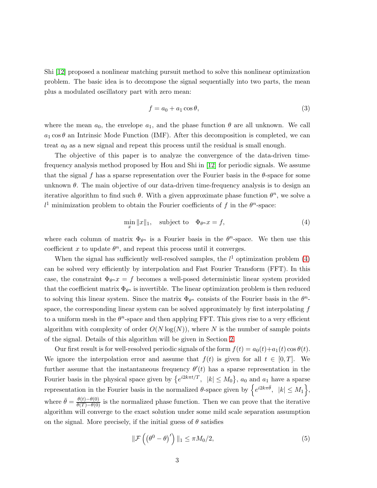Shi [\[12\]](#page-36-0) proposed a nonlinear matching pursuit method to solve this nonlinear optimization problem. The basic idea is to decompose the signal sequentially into two parts, the mean plus a modulated oscillatory part with zero mean:

$$
f = a_0 + a_1 \cos \theta,\tag{3}
$$

where the mean  $a_0$ , the envelope  $a_1$ , and the phase function  $\theta$  are all unknown. We call  $a_1 \cos \theta$  an Intrinsic Mode Function (IMF). After this decomposition is completed, we can treat  $a_0$  as a new signal and repeat this process until the residual is small enough.

The objective of this paper is to analyze the convergence of the data-driven timefrequency analysis method proposed by Hou and Shi in [\[12\]](#page-36-0) for periodic signals. We assume that the signal f has a sparse representation over the Fourier basis in the  $\theta$ -space for some unknown  $\theta$ . The main objective of our data-driven time-frequency analysis is to design an iterative algorithm to find such  $\theta$ . With a given approximate phase function  $\theta^n$ , we solve a  $l<sup>1</sup>$  minimization problem to obtain the Fourier coefficients of f in the  $\theta^{n}$ -space:

<span id="page-2-0"></span>
$$
\min_{x} \|x\|_1, \quad \text{subject to} \quad \Phi_{\theta^n} x = f,\tag{4}
$$

where each column of matrix  $\Phi_{\theta^n}$  is a Fourier basis in the  $\theta^n$ -space. We then use this coefficient x to update  $\theta^n$ , and repeat this process until it converges.

When the signal has sufficiently well-resolved samples, the  $l<sup>1</sup>$  optimization problem [\(4\)](#page-2-0) can be solved very efficiently by interpolation and Fast Fourier Transform (FFT). In this case, the constraint  $\Phi_{\theta^n} x = f$  becomes a well-posed deterministic linear system provided that the coefficient matrix  $\Phi_{\theta^n}$  is invertible. The linear optimization problem is then reduced to solving this linear system. Since the matrix  $\Phi_{\theta^n}$  consists of the Fourier basis in the  $\theta^n$ space, the corresponding linear system can be solved approximately by first interpolating  $f$ to a uniform mesh in the  $\theta^n$ -space and then applying FFT. This gives rise to a very efficient algorithm with complexity of order  $O(N \log(N))$ , where N is the number of sample points of the signal. Details of this algorithm will be given in Section [2.](#page-4-0)

Our first result is for well-resolved periodic signals of the form  $f(t) = a_0(t) + a_1(t) \cos \theta(t)$ . We ignore the interpolation error and assume that  $f(t)$  is given for all  $t \in [0, T]$ . We further assume that the instantaneous frequency  $\theta'(t)$  has a sparse representation in the Fourier basis in the physical space given by  $\{e^{i2k\pi t/T}, |k| \leq M_0\}$ ,  $a_0$  and  $a_1$  have a sparse representation in the Fourier basis in the normalized  $\theta$ -space given by  $\left\{e^{i2k\pi\bar{\theta}}, \ |k| \le M_1\right\}$ , where  $\bar{\theta} = \frac{\theta(t) - \theta(0)}{\theta(T) - \theta(0)}$  is the normalized phase function. Then we can prove that the iterative algorithm will converge to the exact solution under some mild scale separation assumption on the signal. More precisely, if the initial guess of  $\theta$  satisfies

$$
\|\mathcal{F}\left(\left(\theta^{0}-\theta\right)'\right)\|_{1} \leq \pi M_{0}/2, \tag{5}
$$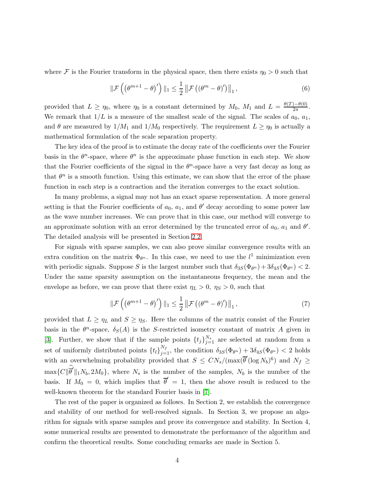where F is the Fourier transform in the physical space, then there exists  $\eta_0 > 0$  such that

$$
\|\mathcal{F}\left(\left(\theta^{m+1}-\theta\right)'\right)\|_{1} \leq \frac{1}{2} \left\|\mathcal{F}\left(\left(\theta^{m}-\theta\right)'\right)\right\|_{1},\tag{6}
$$

provided that  $L \ge \eta_0$ , where  $\eta_0$  is a constant determined by  $M_0$ ,  $M_1$  and  $L = \frac{\theta(T) - \theta(0)}{2\pi}$ . We remark that  $1/L$  is a measure of the smallest scale of the signal. The scales of  $a_0, a_1$ , and  $\theta$  are measured by  $1/M_1$  and  $1/M_0$  respectively. The requirement  $L \geq \eta_0$  is actually a mathematical formulation of the scale separation property.

The key idea of the proof is to estimate the decay rate of the coefficients over the Fourier basis in the  $\theta^n$ -space, where  $\theta^n$  is the approximate phase function in each step. We show that the Fourier coefficients of the signal in the  $\theta^n$ -space have a very fast decay as long as that  $\theta^n$  is a smooth function. Using this estimate, we can show that the error of the phase function in each step is a contraction and the iteration converges to the exact solution.

In many problems, a signal may not has an exact sparse representation. A more general setting is that the Fourier coefficients of  $a_0$ ,  $a_1$ , and  $\theta'$  decay according to some power law as the wave number increases. We can prove that in this case, our method will converge to an approximate solution with an error determined by the truncated error of  $a_0$ ,  $a_1$  and  $\theta'$ . The detailed analysis will be presented in Section [2.2.](#page-12-0)

For signals with sparse samples, we can also prove similar convergence results with an extra condition on the matrix  $\Phi_{\theta^n}$ . In this case, we need to use the  $l^1$  minimization even with periodic signals. Suppose S is the largest number such that  $\delta_{3S}(\Phi_{\theta^n}) + 3\delta_{4S}(\Phi_{\theta^n}) < 2$ . Under the same sparsity assumption on the instantaneous frequency, the mean and the envelope as before, we can prove that there exist  $\eta_L > 0$ ,  $\eta_S > 0$ , such that

$$
\|\mathcal{F}\left(\left(\theta^{m+1}-\theta\right)'\right)\|_{1} \leq \frac{1}{2} \|\mathcal{F}\left(\left(\theta^{m}-\theta\right)'\right)\|_{1},\tag{7}
$$

provided that  $L \geq \eta_L$  and  $S \geq \eta_S$ . Here the columns of the matrix consist of the Fourier basis in the  $\theta^n$ -space,  $\delta_S(A)$  is the S-restricted isometry constant of matrix A given in [\[3\]](#page-36-11). Further, we show that if the sample points  $\{t_j\}_{j=1}^{N_s}$  are selected at random from a set of uniformly distributed points  $\{t_l\}_{j=1}^{N_f}$ , the condition  $\delta_{3S}(\Phi_{\theta^n}) + 3\delta_{4S}(\Phi_{\theta^n}) < 2$  holds with an overwhelming probability provided that  $S \n\t\leq CN_s/(\max(\overline{\theta}^{\prime}(\log N_b)^6))$  and  $N_f \geq$  $\max\{C\|\overline{\theta}'\|_1N_b, 2M_0\}$ , where  $N_s$  is the number of the samples,  $N_b$  is the number of the basis. If  $M_0 = 0$ , which implies that  $\overline{\theta}' = 1$ , then the above result is reduced to the well-known theorem for the standard Fourier basis in [\[7\]](#page-36-12).

The rest of the paper is organized as follows. In Section 2, we establish the convergence and stability of our method for well-resolved signals. In Section 3, we propose an algorithm for signals with sparse samples and prove its convergence and stability. In Section 4, some numerical results are presented to demonstrate the performance of the algorithm and confirm the theoretical results. Some concluding remarks are made in Section 5.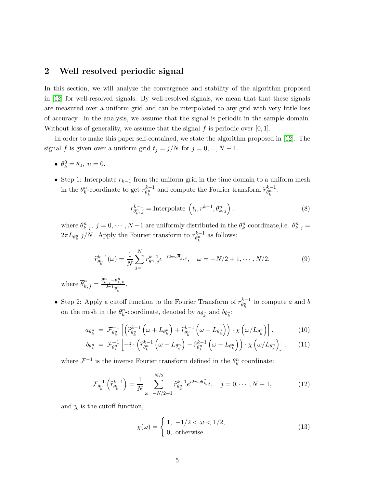# <span id="page-4-0"></span>2 Well resolved periodic signal

In this section, we will analyze the convergence and stability of the algorithm proposed in [\[12\]](#page-36-0) for well-resolved signals. By well-resolved signals, we mean that that these signals are measured over a uniform grid and can be interpolated to any grid with very little loss of accuracy. In the analysis, we assume that the signal is periodic in the sample domain. Without loss of generality, we assume that the signal  $f$  is periodic over [0, 1].

In order to make this paper self-contained, we state the algorithm proposed in [\[12\]](#page-36-0). The signal f is given over a uniform grid  $t_j = j/N$  for  $j = 0, ..., N - 1$ .

- $\theta_k^0 = \theta_0, n = 0.$
- Step 1: Interpolate  $r_{k-1}$  from the uniform grid in the time domain to a uniform mesh in the  $\theta_k^n$ -coordinate to get  $r_{\theta_k^n}^{k-1}$  and compute the Fourier transform  $\hat{r}_{\theta_k^n}^{k-1}$ :

$$
r_{\theta_k^n,j}^{k-1} = \text{Interpolate}\left(t_i, r^{k-1}, \theta_{k,j}^n\right),\tag{8}
$$

where  $\theta_{k,j}^n$ ,  $j = 0, \dots, N-1$  are uniformly distributed in the  $\theta_k^n$ -coordinate, i.e.  $\theta_{k,j}^n =$  $2\pi L_{\theta_k^n} j/N$ . Apply the Fourier transform to  $r_{\theta_k^n}^{k-1}$  as follows:

$$
\widehat{r}_{\theta_k^n}^{k-1}(\omega) = \frac{1}{N} \sum_{j=1}^N r_{\theta^n,j}^{k-1} e^{-i2\pi\omega \overline{\theta}_{k,j}^n}, \quad \omega = -N/2 + 1, \cdots, N/2,
$$
\n(9)

where  $\overline{\theta}_{k,j}^n = \frac{\theta_{k,j}^n - \theta_{k,0}^n}{2\pi L_{\theta_k^n}}$ .

• Step 2: Apply a cutoff function to the Fourier Transform of  $r_{\theta_k^n}^{k-1}$  to compute a and b on the mesh in the  $\theta_k^n$ -coordinate, denoted by  $a_{\theta_k^n}$  and  $b_{\theta_k^n}$ :

$$
a_{\theta_k^n} = \mathcal{F}_{\theta_k^n}^{-1} \left[ \left( \widehat{r}_{\theta_k^n}^{k-1} \left( \omega + L_{\theta_k^n} \right) + \widehat{r}_{\theta_k^n}^{k-1} \left( \omega - L_{\theta_k^n} \right) \right) \cdot \chi \left( \omega / L_{\theta_k^n} \right) \right],\tag{10}
$$

$$
b_{\theta_k^n} = \mathcal{F}_{\theta_k^n}^{-1} \left[ -i \cdot \left( \widehat{r}_{\theta_k^n}^{k-1} \left( \omega + L_{\theta_k^n} \right) - \widehat{r}_{\theta_k^n}^{k-1} \left( \omega - L_{\theta_k^n} \right) \right) \cdot \chi \left( \omega / L_{\theta_k^n} \right) \right], \qquad (11)
$$

where  $\mathcal{F}^{-1}$  is the inverse Fourier transform defined in the  $\theta_k^n$  coordinate:

$$
\mathcal{F}_{\theta_k^n}^{-1}\left(\widehat{r}_{\theta_k^n}^{k-1}\right) = \frac{1}{N} \sum_{\omega=-N/2+1}^{N/2} \widehat{r}_{\theta_k^n}^{k-1} e^{i2\pi\omega \overline{\theta}_{k,j}^n}, \quad j = 0, \cdots, N-1,
$$
\n(12)

and  $\chi$  is the cutoff function,

$$
\chi(\omega) = \begin{cases} 1, & -1/2 < \omega < 1/2, \\ 0, & \text{otherwise.} \end{cases}
$$
 (13)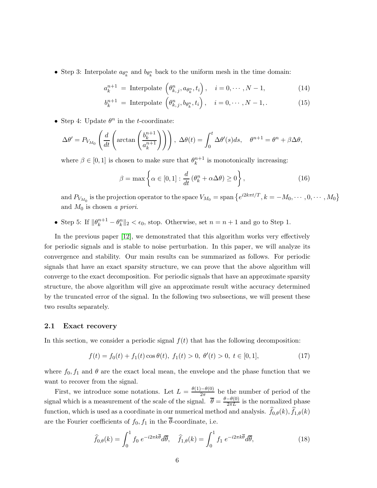• Step 3: Interpolate  $a_{\theta_k^n}$  and  $b_{\theta_k^n}$  back to the uniform mesh in the time domain:

$$
a_k^{n+1} = \text{Interpolate}\left(\theta_{k,j}^n, a_{\theta_k^n}, t_i\right), \quad i = 0, \cdots, N-1,\tag{14}
$$

$$
b_k^{n+1} = \text{Interpolate}\left(\theta_{k,j}^n, b_{\theta_k^n}, t_i\right), \quad i = 0, \cdots, N-1, \tag{15}
$$

• Step 4: Update  $\theta^n$  in the *t*-coordinate:

$$
\Delta\theta' = P_{V_{M_0}}\left(\frac{d}{dt}\left(\arctan\left(\frac{b_k^{n+1}}{a_k^{n+1}}\right)\right)\right), \ \Delta\theta(t) = \int_0^t \Delta\theta'(s)ds, \quad \theta^{n+1} = \theta^n + \beta\Delta\theta,
$$

where  $\beta \in [0, 1]$  is chosen to make sure that  $\theta_k^{n+1}$  $\binom{n+1}{k}$  is monotonically increasing:

$$
\beta = \max \left\{ \alpha \in [0, 1] : \frac{d}{dt} \left( \theta_k^n + \alpha \Delta \theta \right) \ge 0 \right\},\tag{16}
$$

and  $P_{V_{M_0}}$  is the projection operator to the space  $V_{M_0} =$  span  $\left\{e^{i2k\pi t/T}, k = -M_0, \cdots, 0, \cdots, M_0\right\}$ and  $M_0$  is chosen a priori.

• Step 5: If  $\|\theta_k^{n+1} - \theta_k^n\|_2 < \epsilon_0$ , stop. Otherwise, set  $n = n+1$  and go to Step 1.

In the previous paper [\[12\]](#page-36-0), we demonstrated that this algorithm works very effectively for periodic signals and is stable to noise perturbation. In this paper, we will analyze its convergence and stability. Our main results can be summarized as follows. For periodic signals that have an exact sparsity structure, we can prove that the above algorithm will converge to the exact decomposition. For periodic signals that have an approximate sparsity structure, the above algorithm will give an approximate result withe accuracy determined by the truncated error of the signal. In the following two subsections, we will present these two results separately.

#### 2.1 Exact recovery

In this section, we consider a periodic signal  $f(t)$  that has the following decomposition:

$$
f(t) = f_0(t) + f_1(t) \cos \theta(t), \ f_1(t) > 0, \ \theta'(t) > 0, \ t \in [0, 1], \tag{17}
$$

where  $f_0, f_1$  and  $\theta$  are the exact local mean, the envelope and the phase function that we want to recover from the signal.

First, we introduce some notations. Let  $L = \frac{\theta(1) - \theta(0)}{2\pi}$  be the number of period of the signal which is a measurement of the scale of the signal.  $\bar{\theta} = \frac{\theta - \theta(0)}{2\pi L}$  is the normalized phase function, which is used as a coordinate in our numerical method and analysis.  $f_{0,\theta}(k)$ ,  $f_{1,\theta}(k)$ are the Fourier coefficients of  $f_0, f_1$  in the  $\overline{\theta}$ -coordinate, i.e.

$$
\widehat{f}_{0,\theta}(k) = \int_0^1 f_0 e^{-i2\pi k \overline{\theta}} d\overline{\theta}, \quad \widehat{f}_{1,\theta}(k) = \int_0^1 f_1 e^{-i2\pi k \overline{\theta}} d\overline{\theta}, \tag{18}
$$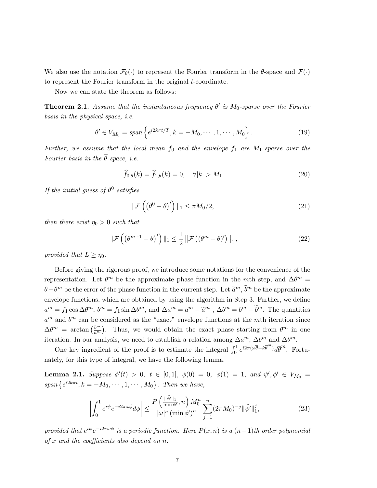We also use the notation  $\mathcal{F}_{\theta}(\cdot)$  to represent the Fourier transform in the  $\theta$ -space and  $\mathcal{F}(\cdot)$ to represent the Fourier transform in the original *t*-coordinate.

Now we can state the theorem as follows:

<span id="page-6-1"></span>**Theorem 2.1.** Assume that the instantaneous frequency  $\theta'$  is  $M_0$ -sparse over the Fourier basis in the physical space, i.e.

$$
\theta' \in V_{M_0} = span \left\{ e^{i2k\pi t/T}, k = -M_0, \cdots, 1, \cdots, M_0 \right\}.
$$
 (19)

Further, we assume that the local mean  $f_0$  and the envelope  $f_1$  are  $M_1$ -sparse over the Fourier basis in the  $\overline{\theta}$ -space, i.e.

$$
\widehat{f}_{0,\theta}(k) = \widehat{f}_{1,\theta}(k) = 0, \quad \forall |k| > M_1.
$$
\n(20)

If the initial guess of  $\theta^0$  satisfies

$$
\|\mathcal{F}\left(\left(\theta^{0}-\theta\right)'\right)\|_{1} \leq \pi M_{0}/2, \tag{21}
$$

then there exist  $\eta_0 > 0$  such that

$$
\|\mathcal{F}\left(\left(\theta^{m+1}-\theta\right)'\right)\|_{1} \leq \frac{1}{2} \|\mathcal{F}\left(\left(\theta^{m}-\theta\right)'\right)\|_{1},\tag{22}
$$

provided that  $L \geq \eta_0$ .

Before giving the rigorous proof, we introduce some notations for the convenience of the representation. Let  $\theta^m$  be the approximate phase function in the mth step, and  $\Delta\theta^m =$  $\theta - \theta^m$  be the error of the phase function in the current step. Let  $\tilde{a}^m$ ,  $\tilde{b}^m$  be the approximate envelope functions, which are obtained by using the algorithm in Step 3. Further, we define  $a^m = f_1 \cos \Delta \theta^m$ ,  $b^m = f_1 \sin \Delta \theta^m$ , and  $\Delta a^m = a^m - \tilde{a}^m$ ,  $\Delta b^m = b^m - \tilde{b}^m$ . The quantities  $a^m$  and  $b^m$  can be considered as the "exact" envelope functions at the mth iteration since  $\Delta\theta^m = \arctan\left(\frac{b^m}{a^m}\right)$  $\frac{b^m}{a^m}$ ). Thus, we would obtain the exact phase starting from  $\theta^m$  in one iteration. In our analysis, we need to establish a relation among  $\Delta a^m$ ,  $\Delta b^m$  and  $\Delta \theta^m$ .

One key ingredient of the proof is to estimate the integral  $\int_0^1 e^{i2\pi(\omega\overline{\theta}-k\overline{\theta}^m)} d\overline{\theta}^m$ . Fortunately, for this type of integral, we have the following lemma.

<span id="page-6-0"></span>**Lemma 2.1.** Suppose  $\phi'(t) > 0$ ,  $t \in [0,1]$ ,  $\phi(0) = 0$ ,  $\phi(1) = 1$ , and  $\psi', \phi' \in V_{M_0}$ span  $\{e^{i2k\pi t}, k = -M_0, \cdots, 1, \cdots, M_0\}$ . Then we have,

$$
\left| \int_0^1 e^{i\psi} e^{-i2\pi\omega\phi} d\phi \right| \le \frac{P\left( \frac{\|\widehat{\phi}'\|_1}{\min \phi'}, n \right) M_0^n}{|\omega|^n \left( \min \phi' \right)^n} \sum_{j=1}^n (2\pi M_0)^{-j} \|\widehat{\psi}'\|_1^j,
$$
(23)

provided that  $e^{i\psi}e^{-i2\pi\omega\phi}$  is a periodic function. Here  $P(x, n)$  is a  $(n-1)$ th order polynomial of  $x$  and the coefficients also depend on  $n$ .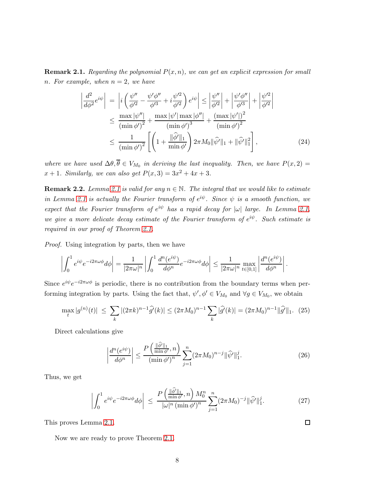**Remark 2.1.** Regarding the polynomial  $P(x, n)$ , we can get an explicit expression for small n. For example, when  $n = 2$ , we have

$$
\left| \frac{d^2}{d\phi^2} e^{i\psi} \right| = \left| i \left( \frac{\psi''}{\phi'^2} - \frac{\psi'\phi''}{\phi'^3} + i \frac{\psi'^2}{\phi'^2} \right) e^{i\psi} \right| \le \left| \frac{\psi''}{\phi'^2} \right| + \left| \frac{\psi'\phi''}{\phi'^3} \right| + \left| \frac{\psi'^2}{\phi'^2} \right|
$$
  

$$
\le \frac{\max |\psi''|}{(\min \phi')^2} + \frac{\max |\psi'| \max |\phi''|}{(\min \phi')^3} + \frac{(\max |\psi'|)^2}{(\min \phi')^2}
$$
  

$$
\le \frac{1}{(\min \phi')^2} \left[ \left( 1 + \frac{\|\hat{\phi}'\|_1}{\min \phi'} \right) 2\pi M_0 \|\hat{\psi}'\|_1 + \|\hat{\psi}'\|_1^2 \right],
$$
 (24)

where we have used  $\Delta\theta$ ,  $\theta \in V_{M_0}$  in deriving the last inequality. Then, we have  $P(x, 2) =$  $x + 1$ . Similarly, we can also get  $P(x, 3) = 3x^2 + 4x + 3$ .

**Remark 2.2.** Lemma [2.1](#page-6-0) is valid for any  $n \in \mathbb{N}$ . The integral that we would like to estimate in Lemma [2.1](#page-6-0) is actually the Fourier transform of  $e^{i\psi}$ . Since  $\psi$  is a smooth function, we expect that the Fourier transform of  $e^{i\psi}$  has a rapid decay for  $|\omega|$  large. In Lemma [2.1,](#page-6-0) we give a more delicate decay estimate of the Fourier transform of  $e^{i\psi}$ . Such estimate is required in our proof of Theorem [2.1.](#page-6-1)

Proof. Using integration by parts, then we have

$$
\left| \int_0^1 e^{i\psi} e^{-i2\pi\omega\phi} d\phi \right| = \frac{1}{|2\pi\omega|^n} \left| \int_0^1 \frac{d^n(e^{i\psi})}{d\phi^n} e^{-i2\pi\omega\phi} d\phi \right| \le \frac{1}{|2\pi\omega|^n} \max_{t \in [0,1]} \left| \frac{d^n(e^{i\psi})}{d\phi^n} \right|.
$$

Since  $e^{i\psi}e^{-i2\pi\omega\phi}$  is periodic, there is no contribution from the boundary terms when performing integration by parts. Using the fact that,  $\psi', \phi' \in V_{M_0}$  and  $\forall g \in V_{M_0}$ , we obtain

<span id="page-7-0"></span>
$$
\max_{t} |g^{(n)}(t)| \leq \sum_{k} |(2\pi k)^{n-1} \hat{g'}(k)| \leq (2\pi M_0)^{n-1} \sum_{k} |\hat{g'}(k)| = (2\pi M_0)^{n-1} ||\hat{g'}||_1. (25)
$$

Direct calculations give

$$
\left|\frac{d^n(e^{i\psi})}{d\phi^n}\right| \le \frac{P\left(\frac{\|\widehat{\phi}'\|_1}{\min \phi'}, n\right)}{\left(\min \phi'\right)^n} \sum_{j=1}^n (2\pi M_0)^{n-j} \|\widehat{\psi}'\|_1^j. \tag{26}
$$

Thus, we get

$$
\left| \int_0^1 e^{i\psi} e^{-i2\pi\omega\phi} d\phi \right| \leq \frac{P\left( \frac{\|\widehat{\phi}'\|_1}{\min \phi'}, n \right) M_0^n}{|\omega|^n \left( \min \phi' \right)^n} \sum_{j=1}^n (2\pi M_0)^{-j} \|\widehat{\psi}'\|_1^j. \tag{27}
$$

This proves Lemma [2.1.](#page-6-0)

Now we are ready to prove Theorem [2.1.](#page-6-1)

 $\Box$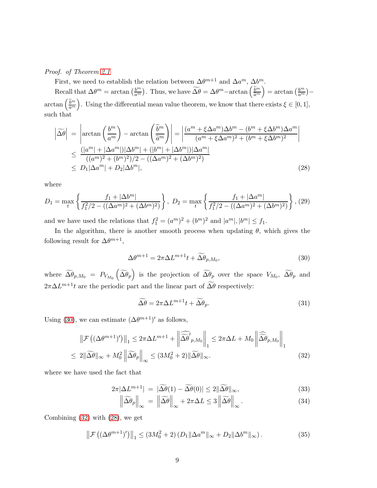Proof. of Theorem [2.1](#page-6-1)

First, we need to establish the relation between  $\Delta\theta^{m+1}$  and  $\Delta a^m$ ,  $\Delta b^m$ . Recall that  $\Delta \theta^m = \arctan \left( \frac{b^m}{a^m} \right)$  $\frac{b^m}{a^m}$ ). Thus, we have  $\widetilde{\Delta \theta} = \Delta \theta^m - \arctan \left( \frac{\widetilde{b}^m}{\widetilde{a}^m} \right)$  $\tilde{a}^m$  $= \arctan \left( \frac{b^m}{a^m} \right)$  $rac{b^m}{a^m}$ ) –  $\arctan\left(\frac{\tilde{b}^m}{\tilde{a}^m}\right)$  $\tilde{a}^m$ ). Using the differential mean value theorem, we know that there exists  $\xi \in [0,1]$ , such that

<span id="page-8-2"></span>
$$
\left|\widetilde{\Delta\theta}\right| = \left|\arctan\left(\frac{b^m}{a^m}\right) - \arctan\left(\frac{\widetilde{b}^m}{\widetilde{a}^m}\right)\right| = \left|\frac{(a^m + \xi \Delta a^m) \Delta b^m - (b^m + \xi \Delta b^m) \Delta a^m}{(a^m + \xi \Delta a^m)^2 + (b^m + \xi \Delta b^m)^2}\right|
$$
  
\n
$$
\leq \frac{(|a^m| + |\Delta a^m|) |\Delta b^m| + (|b^m| + |\Delta b^m|) |\Delta a^m|}{((a^m)^2 + (b^m)^2)/2 - ((\Delta a^m)^2 + (\Delta b^m)^2)}
$$
  
\n
$$
\leq D_1 |\Delta a^m| + D_2 |\Delta b^m|,
$$
\n(28)

where

$$
D_1 = \max_t \left\{ \frac{f_1 + |\Delta b^m|}{f_1^2/2 - ((\Delta a^m)^2 + (\Delta b^m)^2)} \right\}, \ D_2 = \max_t \left\{ \frac{f_1 + |\Delta a^m|}{f_1^2/2 - ((\Delta a^m)^2 + (\Delta b^m)^2)} \right\}, (29)
$$

and we have used the relations that  $f_1^2 = (a^m)^2 + (b^m)^2$  and  $|a^m|, |b^m| \le f_1$ .

In the algorithm, there is another smooth process when updating  $\theta$ , which gives the following result for  $\Delta \theta^{m+1}$ ,

<span id="page-8-0"></span>
$$
\Delta \theta^{m+1} = 2\pi \Delta L^{m+1} t + \widetilde{\Delta \theta}_{p,M_0},\tag{30}
$$

where  $\widetilde{\Delta \theta}_{p,M_0} = P_{V_{M_0}}(\widetilde{\Delta \theta}_p)$  is the projection of  $\widetilde{\Delta \theta}_p$  over the space  $V_{M_0}$ ,  $\widetilde{\Delta \theta}_p$  and  $2\pi\Delta L^{m+1}$ t are the periodic part and the linear part of  $\Delta\theta$  respectively:

$$
\widetilde{\Delta \theta} = 2\pi \Delta L^{m+1} t + \widetilde{\Delta \theta}_p. \tag{31}
$$

Using [\(30\)](#page-8-0), we can estimate  $(\Delta \theta^{m+1})'$  as follows,

<span id="page-8-1"></span>
$$
\|\mathcal{F}\left((\Delta\theta^{m+1})'\right)\|_{1} \leq 2\pi\Delta L^{m+1} + \left\|\widehat{\widetilde{\Delta\theta}}'_{p,M_{0}}\right\|_{1} \leq 2\pi\Delta L + M_{0} \left\|\widehat{\widetilde{\Delta\theta}}_{p,M_{0}}\right\|_{1}
$$
  

$$
\leq 2\|\widetilde{\Delta\theta}\|_{\infty} + M_{0}^{2} \left\|\widetilde{\Delta\theta}_{p}\right\|_{\infty} \leq (3M_{0}^{2} + 2)\|\widetilde{\Delta\theta}\|_{\infty}.
$$
 (32)

where we have used the fact that

$$
2\pi|\Delta L^{m+1}| = |\widetilde{\Delta\theta}(1) - \widetilde{\Delta\theta}(0)| \le 2\|\widetilde{\Delta\theta}\|_{\infty},\tag{33}
$$

$$
\|\widetilde{\Delta\theta}\| = \|\widetilde{\Delta\theta}\| = 2\pi\Delta L \le 2\|\widetilde{\Delta\theta}\| \tag{34}
$$

$$
\left\| \Delta \theta_p \right\|_{\infty} = \left\| \Delta \theta \right\|_{\infty} + 2\pi \Delta L \le 3 \left\| \Delta \theta \right\|_{\infty}.
$$
 (34)

Combining [\(32\)](#page-8-1) with [\(28\)](#page-8-2), we get

<span id="page-8-3"></span>
$$
\left\|\mathcal{F}\left((\Delta\theta^{m+1})'\right)\right\|_{1} \leq \left(3M_0^2 + 2\right)\left(D_1\|\Delta a^m\|_{\infty} + D_2\|\Delta b^m\|_{\infty}\right). \tag{35}
$$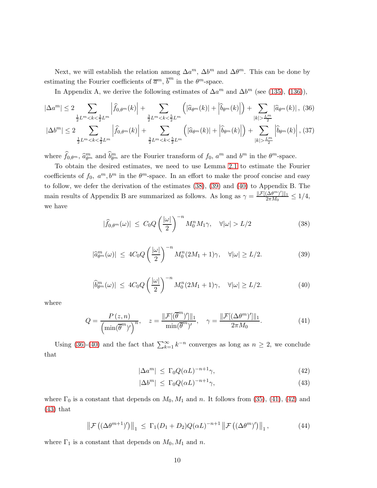Next, we will establish the relation among  $\Delta a^m$ ,  $\Delta b^m$  and  $\Delta \theta^m$ . This can be done by estimating the Fourier coefficients of  $\overline{a}^m$ ,  $\overline{b}^m$  in the  $\theta^m$ -space.

In Appendix A, we derive the following estimates of  $\Delta a^m$  and  $\Delta b^m$  (see [\(135\)](#page-31-0), [\(136\)](#page-31-1)),

<span id="page-9-3"></span>
$$
|\Delta a^m| \le 2 \sum_{\frac{1}{2}L^m < k < \frac{3}{2}L^m} \left| \hat{f}_{0,\theta^m}(k) \right| + \sum_{\frac{3}{2}L^m < k < \frac{5}{2}L^m} \left( |\hat{a}_{\theta^m}(k)| + |\hat{b}_{\theta^m}(k)| \right) + \sum_{|k| > \frac{L^m}{2}} |\hat{a}_{\theta^m}(k)| \,, \tag{36}
$$
\n
$$
|\Delta b^m| \le 2 \sum_{\frac{1}{2}L^m < k < \frac{3}{2}L^m} \left| \hat{f}_{0,\theta^m}(k) \right| + \sum_{\frac{3}{2}L^m < k < \frac{5}{2}L^m} \left( |\hat{a}_{\theta^m}(k)| + |\hat{b}_{\theta^m}(k)| \right) + \sum_{|k| > \frac{L^m}{2}} \left| \hat{b}_{\theta^m}(k) \right|, \tag{37}
$$

where  $\hat{f}_{0,\theta^m}$ ,  $\hat{a}_{\theta^m}^m$  and  $\hat{b}_{\theta^m}^m$  are the Fourier transform of  $f_0$ ,  $a^m$  and  $b^m$  in the  $\theta^m$ -space.

To obtain the desired estimates, we need to use Lemma [2.1](#page-6-0) to estimate the Fourier coefficients of  $f_0$ ,  $a^m$ ,  $b^m$  in the  $\theta^m$ -space. In an effort to make the proof concise and easy to follow, we defer the derivation of the estimates [\(38\)](#page-9-0), [\(39\)](#page-9-1) and [\(40\)](#page-9-2) to Appendix B. The main results of Appendix B are summarized as follows. As long as  $\gamma = \frac{\|\mathcal{F}[(\Delta\theta^m)']\|_1}{2\pi M_0} \le 1/4$ , we have

<span id="page-9-0"></span>
$$
|\widehat{f}_{0,\theta^m}(\omega)| \le C_0 Q \left(\frac{|\omega|}{2}\right)^{-n} M_0^n M_1 \gamma, \quad \forall |\omega| > L/2 \tag{38}
$$

<span id="page-9-1"></span>
$$
|\widehat{a}_{\theta^m}^m(\omega)| \le 4C_0 Q \left(\frac{|\omega|}{2}\right)^{-n} M_0^n (2M_1 + 1)\gamma, \quad \forall |\omega| \ge L/2. \tag{39}
$$

<span id="page-9-2"></span>
$$
|\widehat{b}_{\theta^m}^m(\omega)| \le 4C_0 Q \left(\frac{|\omega|}{2}\right)^{-n} M_0^n (2M_1 + 1)\gamma, \quad \forall |\omega| \ge L/2. \tag{40}
$$

where

<span id="page-9-4"></span>
$$
Q = \frac{P(z, n)}{\left(\min(\overline{\theta}^m)'\right)^n}, \quad z = \frac{\|\mathcal{F}[(\overline{\theta}^m)']\|_1}{\min(\overline{\theta}^m)'} , \quad \gamma = \frac{\|\mathcal{F}[(\Delta\theta^m)']\|_1}{2\pi M_0} . \tag{41}
$$

Using [\(36\)](#page-9-3)-[\(40\)](#page-9-2) and the fact that  $\sum_{k=1}^{\infty} k^{-n}$  converges as long as  $n \geq 2$ , we conclude that

<span id="page-9-5"></span>
$$
|\Delta a^m| \le \Gamma_0 Q(\alpha L)^{-n+1} \gamma,\tag{42}
$$

$$
|\Delta b^m| \le \Gamma_0 Q(\alpha L)^{-n+1} \gamma,\tag{43}
$$

where  $\Gamma_0$  is a constant that depends on  $M_0, M_1$  and n. It follows from [\(35\)](#page-8-3), [\(41\)](#page-9-4), [\(42\)](#page-9-5) and [\(43\)](#page-9-5) that

$$
\left\|\mathcal{F}\left((\Delta\theta^{m+1})'\right)\right\|_{1} \leq \Gamma_{1}(D_{1}+D_{2})Q(\alpha L)^{-n+1}\left\|\mathcal{F}\left((\Delta\theta^{m})'\right)\right\|_{1},\tag{44}
$$

where  $\Gamma_1$  is a constant that depends on  $M_0, M_1$  and n.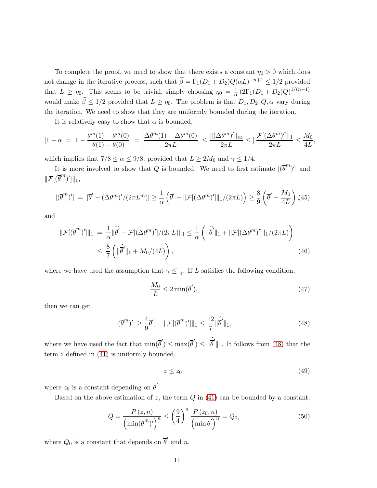To complete the proof, we need to show that there exists a constant  $\eta_0 > 0$  which does not change in the iterative process, such that  $\beta = \Gamma_1(D_1 + D_2)Q(\alpha L)^{-n+1} \leq 1/2$  provided that  $L \ge \eta_0$ . This seems to be trivial, simply choosing  $\eta_0 = \frac{1}{\alpha} (2\Gamma_1(D_1 + D_2)Q)^{1/(n-1)}$ would make  $\tilde{\beta} \leq 1/2$  provided that  $L \geq \eta_0$ . The problem is that  $D_1, D_2, Q, \alpha$  vary during the iteration. We need to show that they are uniformly bounded during the iteration.

It is relatively easy to show that  $\alpha$  is bounded,

$$
|1-\alpha| = \left|1 - \frac{\theta^m(1) - \theta^m(0)}{\theta(1) - \theta(0)}\right| = \left|\frac{\Delta\theta^m(1) - \Delta\theta^m(0)}{2\pi L}\right| \le \frac{\|(\Delta\theta^m)'\|_{\infty}}{2\pi L} \le \|\frac{\mathcal{F}[(\Delta\theta^m)']\|_1}{2\pi L} \le \frac{M_0}{4L},
$$

which implies that  $7/8 \le \alpha \le 9/8$ , provided that  $L \ge 2M_0$  and  $\gamma \le 1/4$ .

It is more involved to show that Q is bounded. We need to first estimate  $|(\overline{\theta}^m)'|$  and  $\|\mathcal{F}[(\overline{\theta}^m)']\|_1,$ 

$$
|(\overline{\theta}^m)'| = |\overline{\theta}' - (\Delta \theta^m)'/(2\pi L^m)| \ge \frac{1}{\alpha} \left( \overline{\theta}' - ||\mathcal{F}[(\Delta \theta^m)']||_1/(2\pi L) \right) \ge \frac{8}{9} \left( \overline{\theta}' - \frac{M_0}{4L} \right), (45)
$$

and

$$
\|\mathcal{F}[(\overline{\theta}^m)']\|_1 = \frac{1}{\alpha} \|\widehat{\overline{\theta}}' - \mathcal{F}[(\Delta \theta^m)']/(2\pi L)\|_1 \le \frac{1}{\alpha} \left( \|\widehat{\overline{\theta}}'\|_1 + \|\mathcal{F}[(\Delta \theta^m)']\|_1/(2\pi L) \right)
$$
  

$$
\le \frac{8}{7} \left( \|\widehat{\overline{\theta}}'\|_1 + M_0/(4L) \right), \tag{46}
$$

where we have used the assumption that  $\gamma \leq \frac{1}{4}$  $\frac{1}{4}$ . If L satisfies the following condition,

$$
\frac{M_0}{L} \le 2\min(\overline{\theta}'),\tag{47}
$$

then we can get

<span id="page-10-0"></span>
$$
|(\overline{\theta}^m)'| \ge \frac{4}{9}\overline{\theta}', \quad \|\mathcal{F}[(\overline{\theta}^m)']\|_1 \le \frac{12}{7} \|\overline{\theta}'\|_1,\tag{48}
$$

where we have used the fact that  $\min(\vec{\theta}') \leq \max(\vec{\theta}') \leq ||\vec{\theta}'||_1$ . It follows from [\(48\)](#page-10-0) that the term  $z$  defined in  $(41)$  is uniformly bounded,

$$
z \le z_0,\tag{49}
$$

where  $z_0$  is a constant depending on  $\overline{\theta}'$ .

Based on the above estimation of z, the term  $Q$  in [\(41\)](#page-9-4) can be bounded by a constant,

$$
Q = \frac{P(z, n)}{\left(\min(\overline{\theta}^m)'\right)^n} \le \left(\frac{9}{4}\right)^n \frac{P(z_0, n)}{\left(\min \overline{\theta}'\right)^n} = Q_0,\tag{50}
$$

where  $Q_0$  is a constant that depends on  $\overline{\theta}'$  and n.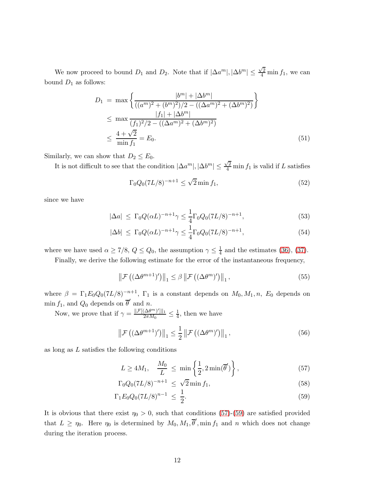We now proceed to bound  $D_1$  and  $D_2$ . Note that if  $|\Delta a^m|, |\Delta b^m| \leq \frac{\sqrt{2}}{4} \min f_1$ , we can bound  $D_1$  as follows:

$$
D_1 = \max \left\{ \frac{|b^m| + |\Delta b^m|}{((a^m)^2 + (b^m)^2)/2 - ((\Delta a^m)^2 + (\Delta b^m)^2)} \right\}
$$
  
\n
$$
\leq \max \frac{|f_1| + |\Delta b^m|}{(f_1)^2/2 - ((\Delta a^m)^2 + (\Delta b^m)^2)}
$$
  
\n
$$
\leq \frac{4 + \sqrt{2}}{\min f_1} = E_0.
$$
 (51)

Similarly, we can show that  $D_2 \leq E_0$ .

It is not difficult to see that the condition  $|\Delta a^m|, |\Delta b^m| \leq \frac{\sqrt{2}}{4}$  min  $f_1$  is valid if L satisfies

$$
\Gamma_0 Q_0 (7L/8)^{-n+1} \le \sqrt{2} \min f_1,\tag{52}
$$

since we have

$$
|\Delta a| \le \Gamma_0 Q(\alpha L)^{-n+1} \gamma \le \frac{1}{4} \Gamma_0 Q_0 (7L/8)^{-n+1}, \tag{53}
$$

$$
|\Delta b| \le \Gamma_0 Q(\alpha L)^{-n+1} \gamma \le \frac{1}{4} \Gamma_0 Q_0 (7L/8)^{-n+1}, \tag{54}
$$

where we have used  $\alpha \ge 7/8$ ,  $Q \le Q_0$ , the assumption  $\gamma \le \frac{1}{4}$  $\frac{1}{4}$  and the estimates [\(36\)](#page-9-3), [\(37\)](#page-9-3).

Finally, we derive the following estimate for the error of the instantaneous frequency,

$$
\left\|\mathcal{F}\left((\Delta\theta^{m+1})'\right)\right\|_{1} \leq \beta \left\|\mathcal{F}\left((\Delta\theta^{m})'\right)\right\|_{1},\tag{55}
$$

where  $\beta = \Gamma_1 E_0 Q_0 (7L/8)^{-n+1}$ ,  $\Gamma_1$  is a constant depends on  $M_0, M_1, n$ ,  $E_0$  depends on min  $f_1$ , and  $Q_0$  depends on  $\overline{\theta}'$  and n.

Now, we prove that if  $\gamma = \frac{\|\mathcal{F}[(\Delta\theta^m)']\|_1}{2\pi M_0} \leq \frac{1}{4}$  $\frac{1}{4}$ , then we have

$$
\left\|\mathcal{F}\left((\Delta\theta^{m+1})'\right)\right\|_{1} \leq \frac{1}{2} \left\|\mathcal{F}\left((\Delta\theta^{m})'\right)\right\|_{1},\tag{56}
$$

as long as L satisfies the following conditions

<span id="page-11-0"></span>
$$
L \ge 4M_1, \quad \frac{M_0}{L} \le \min\left\{\frac{1}{2}, 2\min(\overline{\theta}')\right\},\tag{57}
$$

$$
\Gamma_0 Q_0 (7L/8)^{-n+1} \le \sqrt{2} \min f_1,\tag{58}
$$

$$
\Gamma_1 E_0 Q_0 (7L/8)^{n-1} \le \frac{1}{2}.\tag{59}
$$

It is obvious that there exist  $\eta_0 > 0$ , such that conditions [\(57\)](#page-11-0)-[\(59\)](#page-11-0) are satisfied provided that  $L \ge \eta_0$ . Here  $\eta_0$  is determined by  $M_0, M_1, \overline{\theta}'$ , min  $f_1$  and n which does not change during the iteration process.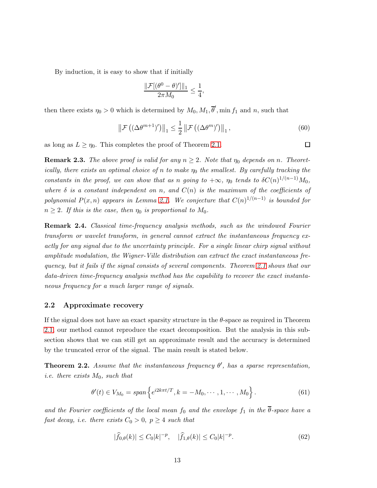By induction, it is easy to show that if initially

$$
\frac{\|\mathcal{F}[(\theta^0 - \theta)']\|_1}{2\pi M_0} \le \frac{1}{4},
$$

then there exists  $\eta_0 > 0$  which is determined by  $M_0, M_1, \overline{\theta}'$ , min  $f_1$  and n, such that

$$
\left\|\mathcal{F}\left((\Delta\theta^{m+1})'\right)\right\|_{1} \leq \frac{1}{2} \left\|\mathcal{F}\left((\Delta\theta^{m})'\right)\right\|_{1},\tag{60}
$$

as long as  $L \geq \eta_0$ . This completes the proof of Theorem [2.1.](#page-6-1)

**Remark 2.3.** The above proof is valid for any  $n \geq 2$ . Note that  $\eta_0$  depends on n. Theoretically, there exists an optimal choice of n to make  $\eta_0$  the smallest. By carefully tracking the constants in the proof, we can show that as n going to  $+\infty$ ,  $\eta_0$  tends to  $\delta C(n)^{1/(n-1)}M_0$ , where  $\delta$  is a constant independent on n, and  $C(n)$  is the maximum of the coefficients of polynomial  $P(x, n)$  appears in Lemma [2.1.](#page-6-0) We conjecture that  $C(n)^{1/(n-1)}$  is bounded for  $n \geq 2$ . If this is the case, then  $\eta_0$  is proportional to  $M_0$ .

Remark 2.4. Classical time-frequency analysis methods, such as the windowed Fourier transform or wavelet transform, in general cannot extract the instantaneous frequency exactly for any signal due to the uncertainty principle. For a single linear chirp signal without amplitude modulation, the Wigner-Ville distribution can extract the exact instantaneous frequency, but it fails if the signal consists of several components. Theorem [2.1](#page-6-1) shows that our data-driven time-frequency analysis method has the capability to recover the exact instantaneous frequency for a much larger range of signals.

### <span id="page-12-0"></span>2.2 Approximate recovery

If the signal does not have an exact sparsity structure in the θ-space as required in Theorem [2.1,](#page-6-1) our method cannot reproduce the exact decomposition. But the analysis in this subsection shows that we can still get an approximate result and the accuracy is determined by the truncated error of the signal. The main result is stated below.

<span id="page-12-1"></span>**Theorem 2.2.** Assume that the instantaneous frequency  $\theta'$ , has a sparse representation, i.e. there exists  $M_0$ , such that

$$
\theta'(t) \in V_{M_0} = span \left\{ e^{i2k\pi t/T}, k = -M_0, \cdots, 1, \cdots, M_0 \right\}.
$$
 (61)

and the Fourier coefficients of the local mean  $f_0$  and the envelope  $f_1$  in the  $\overline{\theta}$ -space have a fast decay, i.e. there exists  $C_0 > 0$ ,  $p \geq 4$  such that

$$
|\widehat{f}_{0,\theta}(k)| \le C_0 |k|^{-p}, \quad |\widehat{f}_{1,\theta}(k)| \le C_0 |k|^{-p}.
$$
 (62)

□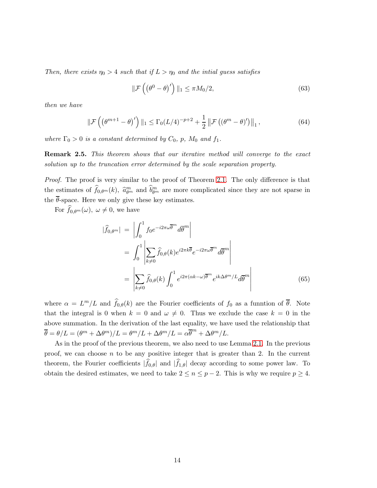Then, there exists  $\eta_0 > 4$  such that if  $L > \eta_0$  and the intial guess satisfies

$$
\|\mathcal{F}\left(\left(\theta^{0}-\theta\right)'\right)\|_{1} \leq \pi M_{0}/2, \tag{63}
$$

then we have

$$
\|\mathcal{F}\left(\left(\theta^{m+1}-\theta\right)'\right)\|_1 \leq \Gamma_0(L/4)^{-p+2} + \frac{1}{2}\left\|\mathcal{F}\left(\left(\theta^m-\theta\right)'\right)\right\|_1,\tag{64}
$$

where  $\Gamma_0 > 0$  is a constant determined by  $C_0$ , p,  $M_0$  and  $f_1$ .

**Remark 2.5.** This theorem shows that our iterative method will converge to the exact solution up to the truncation error determined by the scale separation property.

Proof. The proof is very similar to the proof of Theorem [2.1.](#page-6-1) The only difference is that the estimates of  $\hat{f}_{0,\theta^m}(k)$ ,  $\hat{a}_{\theta^m}^m$  and  $\hat{b}_{\theta^m}^m$  are more complicated since they are not sparse in the  $\overline{\theta}$ -space. Here we only give these key estimates.

For  $f_{0,\theta^m}(\omega)$ ,  $\omega \neq 0$ , we have

<span id="page-13-0"></span>
$$
|\widehat{f}_{0,\theta^m}| = \left| \int_0^1 f_0 e^{-i2\pi\omega \overline{\theta}^m} d\overline{\theta}^m \right|
$$
  
\n
$$
= \int_0^1 \left| \sum_{k\neq 0} \widehat{f}_{0,\theta}(k) e^{i2\pi k \overline{\theta}} e^{-i2\pi\omega \overline{\theta}^m} d\overline{\theta}^m \right|
$$
  
\n
$$
= \left| \sum_{k\neq 0} \widehat{f}_{0,\theta}(k) \int_0^1 e^{i2\pi(\alpha k - \omega) \overline{\theta}^m} e^{ik\Delta\theta^m/L} d\overline{\theta}^m \right|
$$
(65)

where  $\alpha = L^m/L$  and  $\widehat{f}_{0,\theta}(k)$  are the Fourier coefficients of  $f_0$  as a funntion of  $\overline{\theta}$ . Note that the integral is 0 when  $k = 0$  and  $\omega \neq 0$ . Thus we exclude the case  $k = 0$  in the above summation. In the derivation of the last equality, we have used the relationship that  $\overline{\theta} = \theta/L = (\theta^m + \Delta \theta^m)/L = \theta^m/L + \Delta \theta^m/L = \alpha \overline{\theta}^m + \Delta \theta^m/L.$ 

As in the proof of the previous theorem, we also need to use Lemma [2.1.](#page-6-0) In the previous proof, we can choose  $n$  to be any positive integer that is greater than 2. In the current theorem, the Fourier coefficients  $|f_{0,\theta}|$  and  $|f_{1,\theta}|$  decay according to some power law. To obtain the desired estimates, we need to take  $2 \le n \le p-2$ . This is why we require  $p \ge 4$ .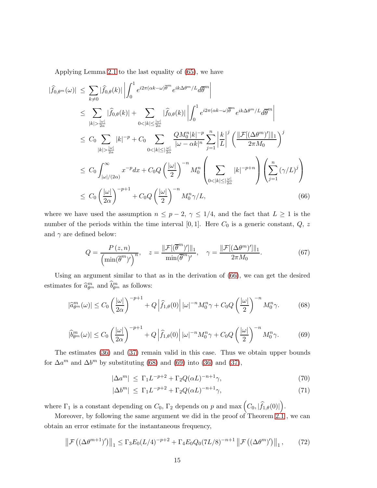Applying Lemma [2.1](#page-6-0) to the last equality of [\(65\)](#page-13-0), we have

<span id="page-14-0"></span>
$$
|\widehat{f}_{0,\theta^m}(\omega)| \leq \sum_{k\neq 0} |\widehat{f}_{0,\theta}(k)| \left| \int_0^1 e^{i2\pi(\alpha k - \omega)\overline{\theta}^m} e^{ik\Delta\theta^m/L} d\overline{\theta}^m \right|
$$
  
\n
$$
\leq \sum_{|k| > \frac{|\omega|}{2\alpha}} |\widehat{f}_{0,\theta}(k)| + \sum_{0 < |k| \leq \frac{|\omega|}{2\alpha}} |\widehat{f}_{0,\theta}(k)| \left| \int_0^1 e^{i2\pi(\alpha k - \omega)\overline{\theta}^m} e^{ik\Delta\theta^m/L} d\overline{\theta}^m \right|
$$
  
\n
$$
\leq C_0 \sum_{|k| > \frac{|\omega|}{2\alpha}} |k|^{-p} + C_0 \sum_{0 < |k| \leq \frac{|\omega|}{2\alpha}} \frac{QM_0^n |k|^{-p}}{|\omega - \alpha k|^n} \sum_{j=1}^n \left| \frac{k}{L} \right|^j \left( \frac{\| \mathcal{F}[(\Delta\theta^m)']\|_1}{2\pi M_0} \right)^j
$$
  
\n
$$
\leq C_0 \int_{|\omega|/(2\alpha)}^{\infty} x^{-p} dx + C_0 Q \left( \frac{|\omega|}{2} \right)^{-n} M_0^n \left( \sum_{0 < |k| \leq \frac{|\omega|}{2\alpha}} |k|^{-p+n} \right) \left( \sum_{j=1}^n (\gamma/L)^j \right)
$$
  
\n
$$
\leq C_0 \left( \frac{|\omega|}{2\alpha} \right)^{-p+1} + C_0 Q \left( \frac{|\omega|}{2} \right)^{-n} M_0^n \gamma/L,
$$
 (66)

where we have used the assumption  $n \leq p-2$ ,  $\gamma \leq 1/4$ , and the fact that  $L \geq 1$  is the number of the periods within the time interval  $[0,1]$ . Here  $C_0$  is a generic constant,  $Q$ , z and  $\gamma$  are defined below:

$$
Q = \frac{P(z, n)}{\left(\min(\overline{\theta}^m)'\right)^n}, \quad z = \frac{\|\mathcal{F}[(\overline{\theta}^m)']\|_1}{\min(\overline{\theta}^m)'}, \quad \gamma = \frac{\|\mathcal{F}[(\Delta\theta^m)']\|_1}{2\pi M_0}.
$$
 (67)

Using an argument similar to that as in the derivation of [\(66\)](#page-14-0), we can get the desired estimates for  $\hat{a}_{\theta^m}^m$  and  $\hat{b}_{\theta^m}^m$  as follows:

<span id="page-14-1"></span>
$$
|\widehat{a}_{\theta^m}^m(\omega)| \le C_0 \left(\frac{|\omega|}{2\alpha}\right)^{-p+1} + Q\left|\widehat{f}_{1,\theta}(0)\right| |\omega|^{-n} M_0^n \gamma + C_0 Q\left(\frac{|\omega|}{2}\right)^{-n} M_0^n \gamma. \tag{68}
$$

<span id="page-14-2"></span>
$$
|\widehat{b}_{\theta^m}^m(\omega)| \le C_0 \left(\frac{|\omega|}{2\alpha}\right)^{-p+1} + Q\left|\widehat{f}_{1,\theta}(0)\right| |\omega|^{-n} M_0^n \gamma + C_0 Q\left(\frac{|\omega|}{2}\right)^{-n} M_0^n \gamma. \tag{69}
$$

The estimates [\(36\)](#page-9-3) and [\(37\)](#page-9-3) remain valid in this case. Thus we obtain upper bounds for  $\Delta a^m$  and  $\Delta b^m$  by substituting [\(68\)](#page-14-1) and [\(69\)](#page-14-2) into [\(36\)](#page-9-3) and [\(37\)](#page-9-3),

$$
|\Delta a^m| \le \Gamma_1 L^{-p+2} + \Gamma_2 Q(\alpha L)^{-n+1} \gamma,\tag{70}
$$

$$
|\Delta b^m| \le \Gamma_1 L^{-p+2} + \Gamma_2 Q(\alpha L)^{-n+1} \gamma,\tag{71}
$$

where  $\Gamma_1$  is a constant depending on  $C_0$ ,  $\Gamma_2$  depends on p and max  $(C_0, |\hat{f}_{1,\theta}(0)|)$ .

Moreover, by following the same argument we did in the proof of Theorem [2.1](#page-6-1) , we can obtain an error estimate for the instantaneous frequency,

$$
\left\|\mathcal{F}\left((\Delta\theta^{m+1})'\right)\right\|_{1} \leq \Gamma_{3}E_{0}(L/4)^{-p+2} + \Gamma_{4}E_{0}Q_{0}(7L/8)^{-n+1}\left\|\mathcal{F}\left((\Delta\theta^{m})'\right)\right\|_{1},\tag{72}
$$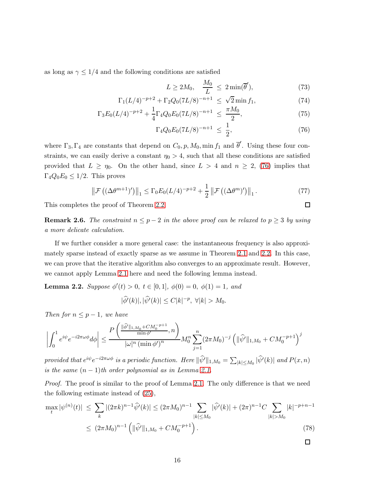as long as  $\gamma \leq 1/4$  and the following conditions are satisfied

<span id="page-15-0"></span>
$$
L \ge 2M_0, \quad \frac{M_0}{L} \le 2\min(\overline{\theta}'), \tag{73}
$$

$$
\Gamma_1(L/4)^{-p+2} + \Gamma_2 Q_0 (7L/8)^{-n+1} \le \sqrt{2} \min f_1,
$$
\n(74)

$$
\Gamma_3 E_0 (L/4)^{-p+2} + \frac{1}{4} \Gamma_4 Q_0 E_0 (7L/8)^{-n+1} \le \frac{\pi M_0}{2},\tag{75}
$$

$$
\Gamma_4 Q_0 E_0 (7L/8)^{-n+1} \le \frac{1}{2},\tag{76}
$$

 $\Box$ 

where  $\Gamma_3, \Gamma_4$  are constants that depend on  $C_0, p, M_0$ , min  $f_1$  and  $\overline{\theta}'$ . Using these four constraints, we can easily derive a constant  $\eta_0 > 4$ , such that all these conditions are satisfied provided that  $L \ge \eta_0$ . On the other hand, since  $L > 4$  and  $n \ge 2$ , [\(76\)](#page-15-0) implies that  $\Gamma_4 Q_0 E_0 \leq 1/2$ . This proves

$$
\left\|\mathcal{F}\left((\Delta\theta^{m+1})'\right)\right\|_{1} \leq \Gamma_{0}E_{0}(L/4)^{-p+2} + \frac{1}{2}\left\|\mathcal{F}\left((\Delta\theta^{m})'\right)\right\|_{1}.
$$
\n(77)

This completes the proof of Theorem [2.2.](#page-12-1)

**Remark 2.6.** The constraint  $n \leq p-2$  in the above proof can be relaxed to  $p \geq 3$  by using a more delicate calculation.

If we further consider a more general case: the instantaneous frequency is also approximately sparse instead of exactly sparse as we assume in Theorem [2.1](#page-6-1) and [2.2.](#page-12-1) In this case, we can prove that the iterative algorithm also converges to an approximate result. However, we cannot apply Lemma [2.1](#page-6-0) here and need the following lemma instead.

**Lemma 2.2.** Suppose  $\phi'(t) > 0$ ,  $t \in [0,1]$ ,  $\phi(0) = 0$ ,  $\phi(1) = 1$ , and

$$
|\widehat{\phi'}(k)|, |\widehat{\psi'}(k)| \le C|k|^{-p}, \ \forall |k| > M_0.
$$

Then for  $n \leq p-1$ , we have

$$
\left| \int_0^1 e^{i \psi} e^{-i 2 \pi \omega \phi} d \phi \right| \leq \frac{P\left( \frac{\|\widehat{\phi}'\|_{1,M_0} + C M_0^{-p+1}}{\min \phi'}, n \right)}{|\omega|^n \left( \min \phi' \right)^n} M_0^n \sum_{j=1}^n (2 \pi M_0)^{-j} \left( \|\widehat{\psi}'\|_{1,M_0} + C M_0^{-p+1} \right)^j
$$

provided that  $e^{i\psi}e^{-i2\pi\omega\phi}$  is a periodic function. Here  $\|\widehat{\psi}'\|_{1,M_0} = \sum_{|k| \le M_0} |\widehat{\psi}'(k)|$  and  $P(x,n)$ is the same  $(n-1)$ th order polynomial as in Lemma [2.1.](#page-6-0)

Proof. The proof is similar to the proof of Lemma [2.1.](#page-6-0) The only difference is that we need the following estimate instead of [\(25\)](#page-7-0),

$$
\max_{t} |\psi^{(n)}(t)| \leq \sum_{k} |(2\pi k)^{n-1} \widehat{\psi}'(k)| \leq (2\pi M_0)^{n-1} \sum_{|k| \leq M_0} |\widehat{\psi}'(k)| + (2\pi)^{n-1} C \sum_{|k| > M_0} |k|^{-p+n-1}
$$
  

$$
\leq (2\pi M_0)^{n-1} \left( \|\widehat{\psi}'\|_{1,M_0} + CM_0^{-p+1} \right).
$$
 (78)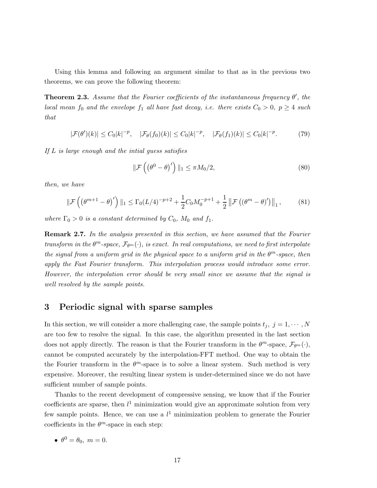Using this lemma and following an argument similar to that as in the previous two theorems, we can prove the following theorem:

<span id="page-16-0"></span>**Theorem 2.3.** Assume that the Fourier coefficients of the instantaneous frequency  $\theta'$ , the local mean  $f_0$  and the envelope  $f_1$  all have fast decay, i.e. there exists  $C_0 > 0$ ,  $p \geq 4$  such that

$$
|\mathcal{F}(\theta')(k)| \le C_0|k|^{-p}, \quad |\mathcal{F}_{\theta}(f_0)(k)| \le C_0|k|^{-p}, \quad |\mathcal{F}_{\theta}(f_1)(k)| \le C_0|k|^{-p}.\tag{79}
$$

If L is large enough and the intial guess satisfies

$$
\|\mathcal{F}\left(\left(\theta^{0}-\theta\right)'\right)\|_{1} \leq \pi M_{0}/2, \tag{80}
$$

then, we have

$$
\|\mathcal{F}\left(\left(\theta^{m+1}-\theta\right)'\right)\|_{1} \leq \Gamma_{0}(L/4)^{-p+2} + \frac{1}{2}C_{0}M_{0}^{-p+1} + \frac{1}{2}\left\|\mathcal{F}\left(\left(\theta^{m}-\theta\right)'\right)\right\|_{1},\tag{81}
$$

where  $\Gamma_0 > 0$  is a constant determined by  $C_0$ ,  $M_0$  and  $f_1$ .

**Remark 2.7.** In the analysis presented in this section, we have assumed that the Fourier transform in the  $\theta^m$ -space,  $\mathcal{F}_{\theta^m}(\cdot)$ , is exact. In real computations, we need to first interpolate the signal from a uniform grid in the physical space to a uniform grid in the  $\theta^m$ -space, then apply the Fast Fourier transform. This interpolation process would introduce some error. However, the interpolation error should be very small since we assume that the signal is well resolved by the sample points.

# <span id="page-16-1"></span>3 Periodic signal with sparse samples

In this section, we will consider a more challenging case, the sample points  $t_j$ ,  $j = 1, \dots, N$ are too few to resolve the signal. In this case, the algorithm presented in the last section does not apply directly. The reason is that the Fourier transform in the  $\theta^m$ -space,  $\mathcal{F}_{\theta^m}(\cdot)$ , cannot be computed accurately by the interpolation-FFT method. One way to obtain the the Fourier transform in the  $\theta^m$ -space is to solve a linear system. Such method is very expensive. Moreover, the resulting linear system is under-determined since we do not have sufficient number of sample points.

Thanks to the recent development of compressive sensing, we know that if the Fourier coefficients are sparse, then  $l^1$  minimization would give an approximate solution from very few sample points. Hence, we can use a  $l<sup>1</sup>$  minimization problem to generate the Fourier coefficients in the  $\theta^m$ -space in each step:

$$
\bullet \ \theta^0 = \theta_0, \ m = 0.
$$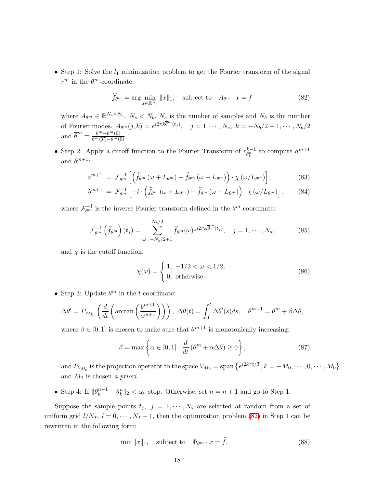• Step 1: Solve the  $l_1$  minimization problem to get the Fourier transform of the signal  $r^m$  in the  $\theta^m$ -coordinate:

<span id="page-17-0"></span>
$$
\widehat{f}_{\theta^m} = \arg\min_{x \in \mathbb{R}^{N_b}} \|x\|_1, \quad \text{subject to} \quad A_{\theta^m} \cdot x = f \tag{82}
$$

where  $A_{\theta^m} \in \mathbb{R}^{N_s \times N_b}$ ,  $N_s \le N_b$ ,  $N_s$  is the number of samples and  $N_b$  is the number of Fourier modes.  $A_{\theta^m}(j,k) = e^{i2\pi k \overline{\theta}^m(t_j)}, \quad j = 1, \cdots, N_s, k = -N_b/2 + 1, \cdots, N_b/2$ and  $\overline{\theta}^m = \frac{\theta^m - \theta^m(0)}{\theta^m(T) - \theta^m(0)}$ .

• Step 2: Apply a cutoff function to the Fourier Transform of  $r_{\theta_k^n}^{k-1}$  to compute  $a^{m+1}$ and  $b^{m+1}$ :

$$
a^{m+1} = \mathcal{F}_{\theta^m}^{-1} \left[ \left( \hat{f}_{\theta^m} \left( \omega + L_{\theta^m} \right) + \hat{f}_{\theta^m} \left( \omega - L_{\theta^m} \right) \right) \cdot \chi \left( \omega / L_{\theta^m} \right) \right],\tag{83}
$$

$$
b^{m+1} = \mathcal{F}_{\theta^m}^{-1} \left[ -i \cdot \left( \widehat{f}_{\theta^m} \left( \omega + L_{\theta^m} \right) - \widehat{f}_{\theta^m} \left( \omega - L_{\theta^m} \right) \right) \cdot \chi \left( \omega / L_{\theta^m} \right) \right], \qquad (84)
$$

where  $\mathcal{F}_{\theta^m}^{-1}$  is the inverse Fourier transform defined in the  $\theta^m$ -coordinate:

$$
\mathcal{F}_{\theta^m}^{-1}\left(\widehat{f}_{\theta^m}\right)(t_j) = \sum_{\omega=-N_b/2+1}^{N_b/2} \widehat{f}_{\theta^m}(\omega) e^{i2\pi\omega\overline{\theta}^m(t_j)}, \quad j = 1, \cdots, N_s,
$$
\n(85)

and  $\chi$  is the cutoff function,

$$
\chi(\omega) = \begin{cases} 1, & -1/2 < \omega < 1/2, \\ 0, & \text{otherwise.} \end{cases}
$$
 (86)

• Step 3: Update  $\theta^m$  in the *t*-coordinate:

$$
\Delta\theta' = P_{V_{M_0}}\left(\frac{d}{dt}\left(\arctan\left(\frac{b^{m+1}}{a^{m+1}}\right)\right)\right), \ \Delta\theta(t) = \int_0^t \Delta\theta'(s)ds, \quad \theta^{m+1} = \theta^m + \beta\Delta\theta,
$$

where  $\beta \in [0, 1]$  is chosen to make sure that  $\theta^{m+1}$  is monotonically increasing:

$$
\beta = \max \left\{ \alpha \in [0, 1] : \frac{d}{dt} (\theta^m + \alpha \Delta \theta) \ge 0 \right\},\tag{87}
$$

and  $P_{V_{M_0}}$  is the projection operator to the space  $V_{M_0} =$  span  $\left\{e^{i2k\pi t/T}, k = -M_0, \cdots, 0, \cdots, M_0\right\}$ and  $M_0$  is chosen a priori.

• Step 4: If  $\|\theta_k^{n+1} - \theta_k^n\|_2 < \epsilon_0$ , stop. Otherwise, set  $n = n+1$  and go to Step 1.

Suppose the sample points  $t_j$ ,  $j = 1, \dots, N_s$  are selected at random from a set of uniform grid  $l/N_f$ ,  $l = 0, \dots, N_f - 1$ , then the optimization problem [\(82\)](#page-17-0) in Step 1 can be rewritten in the following form:

<span id="page-17-1"></span>
$$
\min \|x\|_1, \quad \text{subject to} \quad \Phi_{\theta^m} \cdot x = \hat{f}, \tag{88}
$$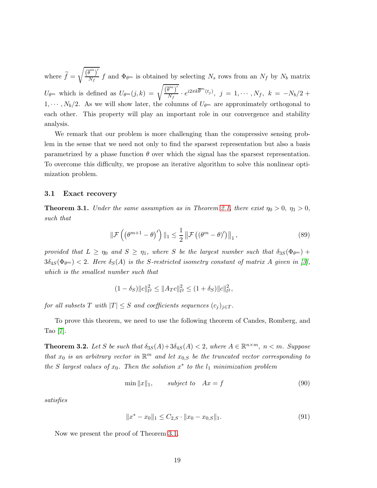where  $f =$  $\sqrt{\left(\overline{\theta}^m\right)'}$  $\frac{N_f}{N_f}$  f and  $\Phi_{\theta^m}$  is obtained by selecting  $N_s$  rows from an  $N_f$  by  $N_b$  matrix  $U_{\theta^m}$  which is defined as  $U_{\theta^m}(j,k) = \sqrt{\frac{\left(\overline{\theta}^m\right)'}{N_f}}$  $\frac{\bar{g}^{m}\gamma}{N_{f}}\cdot e^{i2\pi k{\overline{\theta}}^{m}(t_{j})},\>\>j\>=\>1,\cdots,N_{f},\>\>k\>=\>-N_{b}/2\>+$  $1, \dots, N_b/2$ . As we will show later, the columns of  $U_{\theta^m}$  are approximately orthogonal to each other. This property will play an important role in our convergence and stability analysis.

We remark that our problem is more challenging than the compressive sensing problem in the sense that we need not only to find the sparsest representation but also a basis parametrized by a phase function  $\theta$  over which the signal has the sparsest representation. To overcome this difficulty, we propose an iterative algorithm to solve this nonlinear optimization problem.

#### 3.1 Exact recovery

<span id="page-18-0"></span>**Theorem 3.1.** Under the same assumption as in Theorem [2.1,](#page-6-1) there exist  $\eta_0 > 0$ ,  $\eta_1 > 0$ , such that

$$
\|\mathcal{F}\left(\left(\theta^{m+1}-\theta\right)'\right)\|_{1} \leq \frac{1}{2} \|\mathcal{F}\left(\left(\theta^{m}-\theta\right)'\right)\|_{1},\tag{89}
$$

provided that  $L \ge \eta_0$  and  $S \ge \eta_1$ , where S be the largest number such that  $\delta_{3S}(\Phi_{\theta^m})$  +  $3\delta_{4S}(\Phi_{\theta^m})$  < 2. Here  $\delta_S(A)$  is the S-restricted isometry constant of matrix A given in [\[3\]](#page-36-11), which is the smallest number such that

$$
(1 - \delta_S) ||c||_{l^2}^2 \le ||A_T c||_{l^2}^2 \le (1 + \delta_S) ||c||_{l^2}^2,
$$

for all subsets T with  $|T| \leq S$  and coefficients sequences  $(c_j)_{j \in T}$ .

To prove this theorem, we need to use the following theorem of Candes, Romberg, and Tao [\[7\]](#page-36-12).

**Theorem 3.2.** Let S be such that  $\delta_{3S}(A) + 3\delta_{4S}(A) < 2$ , where  $A \in \mathbb{R}^{n \times m}$ ,  $n < m$ . Suppose that  $x_0$  is an arbitrary vector in  $\mathbb{R}^m$  and let  $x_{0,S}$  be the truncated vector corresponding to the S largest values of  $x_0$ . Then the solution  $x^*$  to the  $l_1$  minimization problem

$$
\min \|x\|_1, \qquad subject \quad Ax = f \tag{90}
$$

satisfies

$$
||x^* - x_0||_1 \le C_{2,S} \cdot ||x_0 - x_{0,S}||_1. \tag{91}
$$

Now we present the proof of Theorem [3.1.](#page-18-0)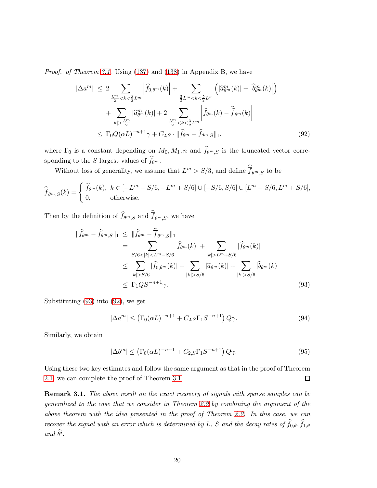Proof. of Theorem [3.1](#page-18-0). Using [\(137\)](#page-31-2) and [\(138\)](#page-31-2) in Appendix B, we have

<span id="page-19-1"></span>
$$
|\Delta a^m| \le 2 \sum_{\frac{L^m}{2} < k < \frac{3}{2} L^m} \left| \hat{f}_{0,\theta^m}(k) \right| + \sum_{\frac{3}{2} L^m < k < \frac{5}{2} L^m} \left( |\hat{a}_{\theta^m}^m(k)| + |\hat{b}_{\theta^m}^m(k)| \right) + \sum_{|k| > \frac{L^m}{2}} |\hat{a}_{\theta^m}^m(k)| + 2 \sum_{\frac{L^m}{2} < k < \frac{3}{2} L^m} \left| \hat{f}_{\theta^m}(k) - \hat{f}_{\theta^m}(k) \right| \le \Gamma_0 Q(\alpha L)^{-n+1} \gamma + C_{2,S} \cdot ||\hat{f}_{\theta^m} - \hat{f}_{\theta^m,S}||_1,
$$
 (92)

where  $\Gamma_0$  is a constant depending on  $M_0, M_1, n$  and  $f_{\theta^m,S}$  is the truncated vector corresponding to the S largest values of  $f_{\theta^m}$ .

Without loss of generality, we assume that  $L^m > S/3$ , and define  $\overline{f}_{\theta^m,S}$  to be

$$
\widehat{\overline{f}}_{\theta^m,S}(k) = \begin{cases} \widehat{f}_{\theta^m}(k), & k \in [-L^m - S/6, -L^m + S/6] \cup [-S/6, S/6] \cup [L^m - S/6, L^m + S/6], \\ 0, & \text{otherwise.} \end{cases}
$$

Then by the definition of  $f_{\theta^m,S}$  and  $f_{\theta^m,S}$ , we have

<span id="page-19-0"></span>
$$
\|\hat{f}_{\theta^{m}} - \hat{f}_{\theta^{m},S}\|_{1} \leq \|\hat{f}_{\theta^{m}} - \hat{\overline{f}}_{\theta^{m},S}\|_{1}
$$
  
\n
$$
= \sum_{S/6 < |k| < L^{m} - S/6} |\hat{f}_{\theta^{m}}(k)| + \sum_{|k| > L^{m} + S/6} |\hat{f}_{\theta^{m}}(k)|
$$
  
\n
$$
\leq \sum_{|k| > S/6} |\hat{f}_{0,\theta^{m}}(k)| + \sum_{|k| > S/6} |\hat{a}_{\theta^{m}}(k)| + \sum_{|k| > S/6} |\hat{b}_{\theta^{m}}(k)|
$$
  
\n
$$
\leq \Gamma_{1}QS^{-n+1}\gamma.
$$
 (93)

Substituting [\(93\)](#page-19-0) into [\(92\)](#page-19-1), we get

$$
|\Delta a^m| \le \left(\Gamma_0(\alpha L)^{-n+1} + C_{2,S}\Gamma_1 S^{-n+1}\right) Q \gamma.
$$
\n(94)

Similarly, we obtain

$$
|\Delta b^m| \le \left(\Gamma_0(\alpha L)^{-n+1} + C_{2,S}\Gamma_1 S^{-n+1}\right) Q \gamma.
$$
\n(95)

Using these two key estimates and follow the same argument as that in the proof of Theorem [2.1,](#page-6-1) we can complete the proof of Theorem [3.1.](#page-18-0)  $\Box$ 

**Remark 3.1.** The above result on the exact recovery of signals with sparse samples can be generalized to the case that we consider in Theorem [2.2](#page-12-1) by combining the argument of the above theorem with the idea presented in the proof of Theorem [2.2.](#page-12-1) In this case, we can recover the signal with an error which is determined by L, S and the decay rates of  $f_{0,\theta}$ ,  $f_{1,\theta}$  $and \theta'$ .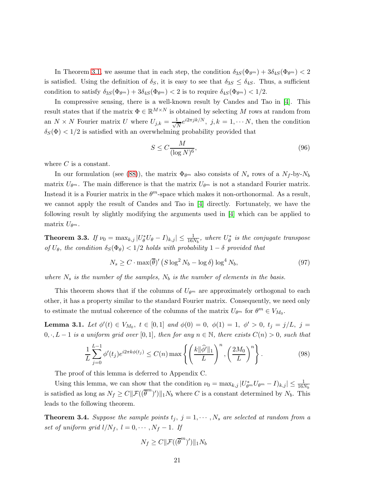In Theorem [3.1,](#page-18-0) we assume that in each step, the condition  $\delta_{3S}(\Phi_{\theta^m}) + 3\delta_{4S}(\Phi_{\theta^m}) < 2$ is satisfied. Using the definition of  $\delta_S$ , it is easy to see that  $\delta_{3S} \leq \delta_{4S}$ . Thus, a sufficient condition to satisfy  $\delta_{3S}(\Phi_{\theta^m}) + 3\delta_{4S}(\Phi_{\theta^m}) < 2$  is to require  $\delta_{4S}(\Phi_{\theta^m}) < 1/2$ .

In compressive sensing, there is a well-known result by Candes and Tao in [\[4\]](#page-36-13). This result states that if the matrix  $\Phi \in \mathbb{R}^{M \times N}$  is obtained by selecting M rows at random from an  $N \times N$  Fourier matrix U where  $U_{j,k} = \frac{1}{\sqrt{j}}$  $\frac{1}{N}e^{i2\pi jk/N}$ ,  $j, k = 1, \cdots N$ , then the condition  $\delta_S(\Phi) < 1/2$  is satisfied with an overwhelming probability provided that

$$
S \le C \frac{M}{(\log N)^6},\tag{96}
$$

where  $C$  is a constant.

In our formulation (see [\(88\)](#page-17-1)), the matrix  $\Phi_{\theta^m}$  also consists of  $N_s$  rows of a  $N_f$ -by- $N_b$ matrix  $U_{\theta^m}$ . The main difference is that the matrix  $U_{\theta^m}$  is not a standard Fourier matrix. Instead it is a Fourier matrix in the  $\theta^m$ -space which makes it non-orthonormal. As a result, we cannot apply the result of Candes and Tao in [\[4\]](#page-36-13) directly. Fortunately, we have the following result by slightly modifying the arguments used in [\[4\]](#page-36-13) which can be applied to matrix  $U_{\theta^m}$ .

**Theorem 3.3.** If  $\nu_0 = \max_{k,j} |U^*_{\theta}U_{\theta} - I_{k,j}| \leq \frac{1}{16N_b}$ , where  $U^*_{\theta}$  is the conjugate transpose of  $U_{\theta}$ , the condition  $\delta_{S}(\Phi_{\theta}) < 1/2$  holds with probability  $1 - \delta$  provided that

$$
N_s \ge C \cdot \max(\overline{\theta})' \left( S \log^2 N_b - \log \delta \right) \log^4 N_b, \tag{97}
$$

where  $N_s$  is the number of the samples,  $N_b$  is the number of elements in the basis.

This theorem shows that if the columns of  $U_{\theta^m}$  are approximately orthogonal to each other, it has a property similar to the standard Fourier matrix. Consequently, we need only to estimate the mutual coherence of the columns of the matrix  $U_{\theta^m}$  for  $\theta^m \in V_{M_0}$ .

<span id="page-20-1"></span>**Lemma 3.1.** Let  $\phi'(t) \in V_{M_0}$ ,  $t \in [0,1]$  and  $\phi(0) = 0$ ,  $\phi(1) = 1$ ,  $\phi' > 0$ ,  $t_j = j/L$ ,  $j =$  $0, \cdot, L-1$  is a uniform grid over [0,1], then for any  $n \in \mathbb{N}$ , there exists  $C(n) > 0$ , such that

$$
\frac{1}{L}\sum_{j=0}^{L-1}\phi'(t_j)e^{i2\pi k\phi(t_j)} \le C(n)\max\left\{\left(\frac{k\|\widehat{\phi}'\|_1}{L}\right)^n, \left(\frac{2M_0}{L}\right)^n\right\}.
$$
\n(98)

The proof of this lemma is deferred to Appendix C.

Using this lemma, we can show that the condition  $\nu_0 = \max_{k,j} |U^*_{\theta^m} U_{\theta^m} - I_{k,j}| \leq \frac{1}{16N_b}$ is satisfied as long as  $N_f \ge C ||\mathcal{F}((\overline{\theta}^m)')||_1 N_b$  where C is a constant determined by  $N_b$ . This leads to the following theorem.

<span id="page-20-0"></span>**Theorem 3.4.** Suppose the sample points  $t_j$ ,  $j = 1, \dots, N_s$  are selected at random from a set of uniform grid  $l/N_f$ ,  $l = 0, \cdots, N_f - 1$ . If

$$
N_f \ge C \|\mathcal{F}((\overline{\theta}^m)')\|_1 N_b
$$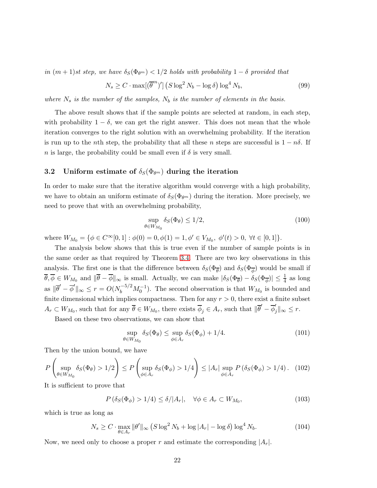in  $(m+1)$ st step, we have  $\delta_S(\Phi_{\theta^m}) < 1/2$  holds with probability  $1-\delta$  provided that

$$
N_s \ge C \cdot \max[(\overline{\theta}^m)'] \left( S \log^2 N_b - \log \delta \right) \log^4 N_b, \tag{99}
$$

where  $N_s$  is the number of the samples,  $N_b$  is the number of elements in the basis.

The above result shows that if the sample points are selected at random, in each step, with probability  $1 - \delta$ , we can get the right answer. This does not mean that the whole iteration converges to the right solution with an overwhelming probability. If the iteration is run up to the *n*th step, the probability that all these *n* steps are successful is  $1 - n\delta$ . If n is large, the probability could be small even if  $\delta$  is very small.

### 3.2 Uniform estimate of  $\delta_S(\Phi_{\theta^m})$  during the iteration

In order to make sure that the iterative algorithm would converge with a high probability, we have to obtain an uniform estimate of  $\delta_S(\Phi_{\theta^m})$  during the iteration. More precisely, we need to prove that with an overwhelming probability,

$$
\sup_{\theta \in W_{M_0}} \delta_S(\Phi_\theta) \le 1/2,\tag{100}
$$

where  $W_{M_0} = \{ \phi \in C^{\infty}[0,1] : \phi(0) = 0, \phi(1) = 1, \phi' \in V_{M_0}, \phi'(t) > 0, \forall t \in [0,1] \}.$ 

The analysis below shows that this is true even if the number of sample points is in the same order as that required by Theorem [3.4.](#page-20-0) There are two key observations in this analysis. The first one is that the difference between  $\delta_S(\Phi_{\overline{\theta}})$  and  $\delta_S(\Phi_{\overline{\phi}})$  would be small if  $\overline{\theta}, \overline{\phi} \in W_{M_0}$  and  $\|\overline{\theta} - \overline{\phi}\|_{\infty}$  is small. Actually, we can make  $|\delta_S(\Phi_{\overline{\theta}}) - \delta_S(\Phi_{\overline{\phi}})| \leq \frac{1}{4}$  as long as  $\|\overline{\theta}' - \overline{\phi}'\|_{\infty} \le r = O(N_b^{-5/2} M_0^{-1})$ . The second observation is that  $W_{M_0}$  is bounded and finite dimensional which implies compactness. Then for any  $r > 0$ , there exist a finite subset  $A_r \subset W_{M_0}$ , such that for any  $\overline{\theta} \in W_{M_0}$ , there exists  $\overline{\phi}_j \in A_r$ , such that  $\|\overline{\theta}' - \overline{\phi}'_j\|_{\infty} \leq r$ .

Based on these two observations, we can show that

$$
\sup_{\theta \in W_{M_0}} \delta_S(\Phi_\theta) \le \sup_{\phi \in A_r} \delta_S(\Phi_\phi) + 1/4. \tag{101}
$$

Then by the union bound, we have

$$
P\left(\sup_{\theta \in W_{M_0}} \delta_S(\Phi_{\theta}) > 1/2\right) \le P\left(\sup_{\phi \in A_r} \delta_S(\Phi_{\phi}) > 1/4\right) \le |A_r| \sup_{\phi \in A_r} P\left(\delta_S(\Phi_{\phi}) > 1/4\right). \tag{102}
$$

It is sufficient to prove that

$$
P\left(\delta_{S}(\Phi_{\phi}) > 1/4\right) \le \delta/|A_{r}|, \quad \forall \phi \in A_{r} \subset W_{M_{0}},\tag{103}
$$

which is true as long as

<span id="page-21-0"></span>
$$
N_s \ge C \cdot \max_{\theta \in A_r} \|\theta'\|_{\infty} \left( S \log^2 N_b + \log |A_r| - \log \delta \right) \log^4 N_b. \tag{104}
$$

Now, we need only to choose a proper r and estimate the corresponding  $|A_r|$ .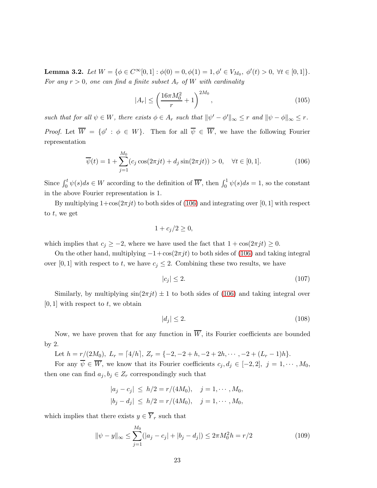<span id="page-22-1"></span>**Lemma 3.2.** Let  $W = \{ \phi \in C^{\infty}[0,1] : \phi(0) = 0, \phi(1) = 1, \phi' \in V_{M_0}, \phi'(t) > 0, \forall t \in [0,1] \}.$ For any  $r > 0$ , one can find a finite subset  $A_r$  of W with cardinality

$$
|A_r| \le \left(\frac{16\pi M_0^2}{r} + 1\right)^{2M_0},\tag{105}
$$

such that for all  $\psi \in W$ , there exists  $\phi \in A_r$  such that  $\|\psi' - \phi'\|_{\infty} \leq r$  and  $\|\psi - \phi\|_{\infty} \leq r$ . *Proof.* Let  $W = \{\phi' : \phi \in W\}$ . Then for all  $\psi \in W$ , we have the following Fourier representation

<span id="page-22-0"></span>
$$
\overline{\psi}(t) = 1 + \sum_{j=1}^{M_0} (c_j \cos(2\pi j t) + d_j \sin(2\pi j t)) > 0, \quad \forall t \in [0, 1].
$$
\n(106)

Since  $\int_0^t \psi(s)ds \in W$  according to the definition of  $\overline{W}$ , then  $\int_0^1 \psi(s)ds = 1$ , so the constant in the above Fourier representation is 1.

By multiplying  $1+\cos(2\pi j t)$  to both sides of [\(106\)](#page-22-0) and integrating over [0, 1] with respect to  $t$ , we get

$$
1 + c_j/2 \geq 0,
$$

which implies that  $c_j \geq -2$ , where we have used the fact that  $1 + \cos(2\pi j t) \geq 0$ .

On the other hand, multiplying  $-1+\cos(2\pi j t)$  to both sides of [\(106\)](#page-22-0) and taking integral over [0, 1] with respect to t, we have  $c_j \leq 2$ . Combining these two results, we have

$$
|c_j| \le 2. \tag{107}
$$

Similarly, by multiplying  $\sin(2\pi i t) \pm 1$  to both sides of [\(106\)](#page-22-0) and taking integral over  $[0, 1]$  with respect to t, we obtain

$$
|d_j| \le 2. \tag{108}
$$

Now, we have proven that for any function in  $\overline{W}$ , its Fourier coefficients are bounded by 2.

Let  $h = r/(2M_0)$ ,  $L_r = \lfloor 4/h \rfloor$ ,  $Z_r = \{-2, -2+h, -2+2h, \cdots, -2+(L_r-1)h\}.$ 

For any  $\overline{\psi} \in \overline{W}$ , we know that its Fourier coefficients  $c_j, d_j \in [-2, 2], j = 1, \cdots, M_0$ , then one can find  $a_j, b_j \in Z_r$  correspondingly such that

$$
|a_j - c_j| \le h/2 = r/(4M_0), \quad j = 1, \dots, M_0,
$$
  
 $|b_j - d_j| \le h/2 = r/(4M_0), \quad j = 1, \dots, M_0,$ 

which implies that there exists  $y \in \overline{Y}_r$  such that

$$
\|\psi - y\|_{\infty} \le \sum_{j=1}^{M_0} (|a_j - c_j| + |b_j - d_j|) \le 2\pi M_0^2 h = r/2
$$
\n(109)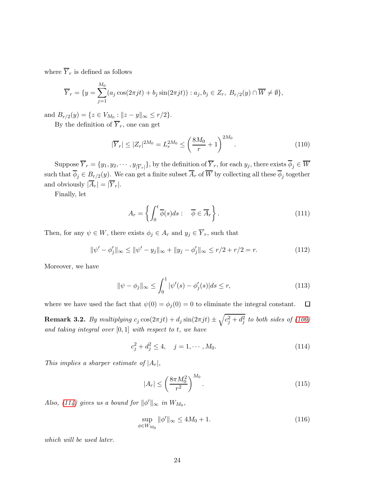where  $\overline{Y}_r$  is defined as follows

$$
\overline{Y}_r = \{ y = \sum_{j=1}^{M_0} (a_j \cos(2\pi j t) + b_j \sin(2\pi j t)) : a_j, b_j \in Z_r, B_{r/2}(y) \cap \overline{W} \neq \emptyset \},\
$$

and  $B_{r/2}(y) = \{z \in V_{M_0} : ||z - y||_{\infty} \le r/2\}.$ 

By the definition of  $\overline{Y}_r$ , one can get

$$
|\overline{Y}_r| \le |Z_r|^{2M_0} = L_r^{2M_0} \le \left(\frac{8M_0}{r} + 1\right)^{2M_0}.\tag{110}
$$

Suppose  $Y_r = \{y_1, y_2, \dots, y_{|\overline{Y}_r|}\}\$ , by the definition of  $Y_r$ , for each  $y_j$ , there exists  $\phi_j \in W$ such that  $\phi_j \in B_{r/2}(y)$ . We can get a finite subset  $A_r$  of W by collecting all these  $\phi_j$  together and obviously  $|\overline{A}_r| = |\overline{Y}_r|$ .

Finally, let

$$
A_r = \left\{ \int_0^t \overline{\phi}(s) ds : \overline{\phi} \in \overline{A}_r \right\}.
$$
 (111)

Then, for any  $\psi \in W$ , there exists  $\phi_j \in A_r$  and  $y_j \in \overline{Y}_r$ , such that

$$
\|\psi' - \phi'_j\|_{\infty} \le \|\psi' - y_j\|_{\infty} + \|y_j - \phi'_j\|_{\infty} \le r/2 + r/2 = r.
$$
 (112)

Moreover, we have

$$
\|\psi - \phi_j\|_{\infty} \le \int_0^1 |\psi'(s) - \phi_j'(s)| ds \le r,
$$
\n(113)

where we have used the fact that  $\psi(0) = \phi_j(0) = 0$  to eliminate the integral constant.  $\Box$ 

**Remark 3.2.** By multiplying  $c_j \cos(2\pi j t) + d_j \sin(2\pi j t) \pm \sqrt{c_j^2 + d_j^2}$  to both sides of [\(106\)](#page-22-0) and taking integral over  $[0, 1]$  with respect to t, we have

<span id="page-23-0"></span>
$$
c_j^2 + d_j^2 \le 4, \quad j = 1, \cdots, M_0. \tag{114}
$$

This implies a sharper estimate of  $|A_r|$ ,

$$
|A_r| \le \left(\frac{8\pi M_0^2}{r^2}\right)^{M_0}.\tag{115}
$$

Also, [\(114\)](#page-23-0) gives us a bound for  $\|\phi'\|_{\infty}$  in  $W_{M_0}$ ,

<span id="page-23-1"></span>
$$
\sup_{\phi \in W_{M_0}} \|\phi'\|_{\infty} \le 4M_0 + 1. \tag{116}
$$

which will be used later.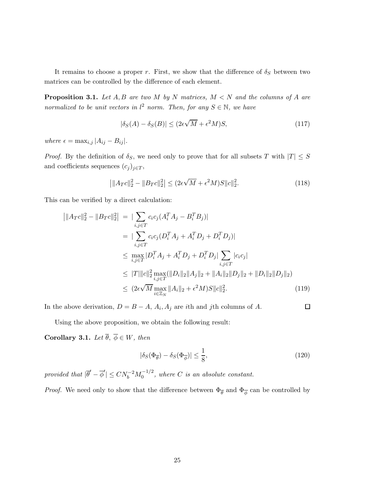It remains to choose a proper r. First, we show that the difference of  $\delta_S$  between two matrices can be controlled by the difference of each element.

<span id="page-24-0"></span>**Proposition 3.1.** Let  $A, B$  are two  $M$  by  $N$  matrices,  $M < N$  and the columns of  $A$  are normalized to be unit vectors in  $l^2$  norm. Then, for any  $S \in \mathbb{N}$ , we have

$$
|\delta_S(A) - \delta_S(B)| \le (2\epsilon\sqrt{M} + \epsilon^2 M)S,\tag{117}
$$

where  $\epsilon = \max_{i,j} |A_{ij} - B_{ij}|.$ 

*Proof.* By the definition of  $\delta_S$ , we need only to prove that for all subsets T with  $|T| \leq S$ and coefficients sequences  $(c_j)_{j\in T}$ ,

$$
\left| \|A_T c\|_2^2 - \|B_T c\|_2^2 \right| \le (2\epsilon \sqrt{M} + \epsilon^2 M)S \|c\|_2^2.
$$
 (118)

This can be verified by a direct calculation:

$$
\begin{aligned}\n||A_{TC}||_2^2 - ||B_{TC}||_2^2| &= |\sum_{i,j \in T} c_i c_j (A_i^T A_j - B_i^T B_j)| \\
&= |\sum_{i,j \in T} c_i c_j (D_i^T A_j + A_i^T D_j + D_i^T D_j)| \\
&\le \max_{i,j \in T} |D_i^T A_j + A_i^T D_j + D_i^T D_j| \sum_{i,j \in T} |c_i c_j| \\
&\le |T| ||c||_2^2 \max_{i,j \in T} (||D_i||_2 ||A_j||_2 + ||A_i||_2 ||D_j||_2 + ||D_i||_2 ||D_j||_2) \\
&\le (2\epsilon \sqrt{M} \max_{i \in \mathbb{Z}_N} ||A_i||_2 + \epsilon^2 M) S ||c||_2^2.\n\end{aligned}
$$
\n(119)

In the above derivation,  $D = B - A$ ,  $A_i$ ,  $A_j$  are *i*th and *j*th columns of A.

$$
\overline{a}
$$

Using the above proposition, we obtain the following result:

<span id="page-24-1"></span>Corollary 3.1. Let  $\overline{\theta}$ ,  $\overline{\phi} \in W$ , then

$$
|\delta_S(\Phi_{\overline{\theta}}) - \delta_S(\Phi_{\overline{\phi}})| \le \frac{1}{8},\tag{120}
$$

provided that  $|\overline{\theta}' - \overline{\phi}'| \leq CN_b^{-2}M_0^{-1/2}$ , where C is an absolute constant.

*Proof.* We need only to show that the difference between  $\Phi_{\overline{\theta}}$  and  $\Phi_{\overline{\phi}}$  can be controlled by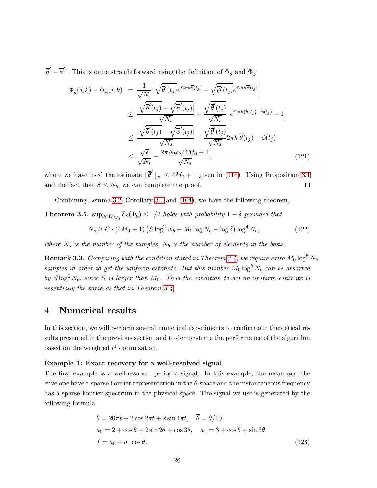$|\overline{\theta}' - \overline{\phi}'|$ . This is quite straightforward using the definition of  $\Phi_{\overline{\theta}}$  and  $\Phi_{\overline{\phi}}$ :

$$
|\Phi_{\overline{\theta}}(j,k) - \Phi_{\overline{\phi}}(j,k)| = \frac{1}{\sqrt{N_s}} \left| \sqrt{\overline{\theta}'(t_j)} e^{i2\pi k \overline{\theta}(t_j)} - \sqrt{\overline{\phi}'(t_j)} e^{i2\pi k \overline{\phi}(t_j)} \right|
$$
  
\n
$$
\leq \frac{|\sqrt{\overline{\theta}'(t_j)} - \sqrt{\overline{\phi}'(t_j)}|}{\sqrt{N_s}} + \frac{\sqrt{\overline{\theta}'(t_j)}}{\sqrt{N_s}} \left| e^{i2\pi k(\overline{\theta}(t_j) - \overline{\phi}(t_j))} - 1 \right|
$$
  
\n
$$
\leq \frac{|\sqrt{\overline{\theta}'(t_j)} - \sqrt{\overline{\phi}'(t_j)}|}{\sqrt{N_s}} + \frac{\sqrt{\overline{\theta}'(t_j)}}{\sqrt{N_s}} 2\pi k |\overline{\theta}(t_j) - \overline{\phi}(t_j)|
$$
  
\n
$$
\leq \frac{\sqrt{\epsilon}}{\sqrt{N_s}} + \frac{2\pi N_b \epsilon \sqrt{4M_0 + 1}}{\sqrt{N_s}},
$$
\n(121)

where we have used the estimate  $\|\overline{\theta}'\|_{\infty} \le 4M_0 + 1$  given in [\(116\)](#page-23-1). Using Proposition [3.1](#page-24-0) and the fact that  $S \leq N_b$ , we can complete the proof.  $\Box$ 

Combining Lemma [3.2,](#page-22-1) Corollary [3.1](#page-24-1) and [\(104\)](#page-21-0), we have the following theorem,

**Theorem 3.5.**  $\sup_{\theta \in W_{M_0}} \delta_S(\Phi_{\theta}) \leq 1/2$  holds with probability  $1 - \delta$  provided that

$$
N_s \ge C \cdot (4M_0 + 1) \left( S \log^2 N_b + M_0 \log N_b - \log \delta \right) \log^4 N_b, \tag{122}
$$

where  $N_s$  is the number of the samples,  $N_b$  is the number of elements in the basis.

**Remark 3.3.** Comparing with the condition stated in Theorem [3.4,](#page-20-0) we require extra  $M_0 \log^5 N_b$ samples in order to get the uniform estimate. But this number  $M_0 \log^5 N_b$  can be absorbed by  $S \log^6 N_b$ , since S is larger than  $M_0$ . Thus the condition to get an uniform estimate is essentially the same as that in Theorem [3.4.](#page-20-0)

# 4 Numerical results

In this section, we will perform several numerical experiments to confirm our theoretical results presented in the previous section and to demonstrate the performance of the algorithm based on the weighted  $l^1$  optimization.

#### Example 1: Exact recovery for a well-resolved signal

The first example is a well-resolved periodic signal. In this example, the mean and the envelope have a sparse Fourier representation in the  $\theta$ -space and the instantaneous frequency has a sparse Fourier spectrum in the physical space. The signal we use is generated by the following formula:

$$
\theta = 20\pi t + 2\cos 2\pi t + 2\sin 4\pi t, \quad \overline{\theta} = \theta/10
$$
  
\n
$$
a_0 = 2 + \cos \overline{\theta} + 2\sin 2\overline{\theta} + \cos 3\overline{\theta}, \quad a_1 = 3 + \cos \overline{\theta} + \sin 3\overline{\theta}
$$
  
\n
$$
f = a_0 + a_1 \cos \theta.
$$
\n(123)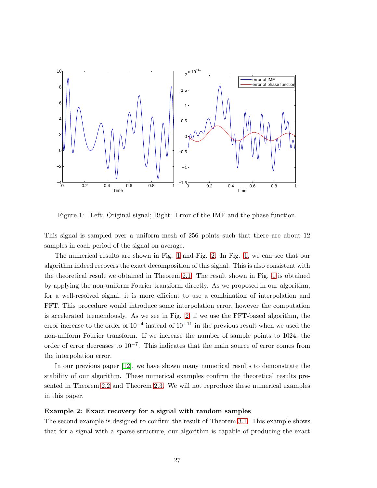

<span id="page-26-0"></span>Figure 1: Left: Original signal; Right: Error of the IMF and the phase function.

This signal is sampled over a uniform mesh of 256 points such that there are about 12 samples in each period of the signal on average.

The numerical results are shown in Fig. [1](#page-26-0) and Fig. [2.](#page-27-0) In Fig. [1,](#page-26-0) we can see that our algorithm indeed recovers the exact decomposition of this signal. This is also consistent with the theoretical result we obtained in Theorem [2.1.](#page-6-1) The result shown in Fig. [1](#page-26-0) is obtained by applying the non-uniform Fourier transform directly. As we proposed in our algorithm, for a well-resolved signal, it is more efficient to use a combination of interpolation and FFT. This procedure would introduce some interpolation error, however the computation is accelerated tremendously. As we see in Fig. [2,](#page-27-0) if we use the FFT-based algorithm, the error increase to the order of  $10^{-4}$  instead of  $10^{-11}$  in the previous result when we used the non-uniform Fourier transform. If we increase the number of sample points to 1024, the order of error decreases to 10<sup>-7</sup>. This indicates that the main source of error comes from the interpolation error.

In our previous paper [\[12\]](#page-36-0), we have shown many numerical results to demonstrate the stability of our algorithm. These numerical examples confirm the theoretical results presented in Theorem [2.2](#page-12-1) and Theorem [2.3.](#page-16-0) We will not reproduce these numerical examples in this paper.

#### Example 2: Exact recovery for a signal with random samples

The second example is designed to confirm the result of Theorem [3.1.](#page-18-0) This example shows that for a signal with a sparse structure, our algorithm is capable of producing the exact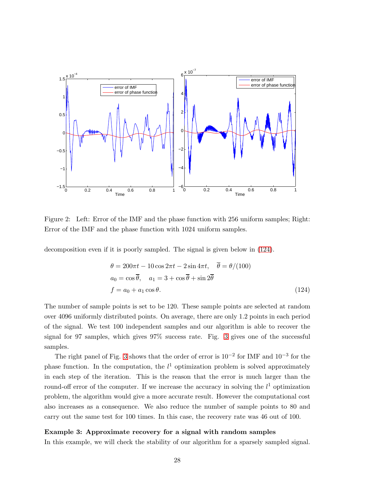

<span id="page-27-0"></span>Figure 2: Left: Error of the IMF and the phase function with 256 uniform samples; Right: Error of the IMF and the phase function with 1024 uniform samples.

decomposition even if it is poorly sampled. The signal is given below in [\(124\)](#page-27-1).

<span id="page-27-1"></span>
$$
\theta = 200\pi t - 10\cos 2\pi t - 2\sin 4\pi t, \quad \overline{\theta} = \theta/(100)
$$
  
\n
$$
a_0 = \cos \overline{\theta}, \quad a_1 = 3 + \cos \overline{\theta} + \sin 2\overline{\theta}
$$
  
\n
$$
f = a_0 + a_1 \cos \theta.
$$
\n(124)

The number of sample points is set to be 120. These sample points are selected at random over 4096 uniformly distributed points. On average, there are only 1.2 points in each period of the signal. We test 100 independent samples and our algorithm is able to recover the signal for 97 samples, which gives 97% success rate. Fig. [3](#page-28-0) gives one of the successful samples.

The right panel of Fig. [3](#page-28-0) shows that the order of error is  $10^{-2}$  for IMF and  $10^{-3}$  for the phase function. In the computation, the  $l<sup>1</sup>$  optimization problem is solved approximately in each step of the iteration. This is the reason that the error is much larger than the round-off error of the computer. If we increase the accuracy in solving the  $l<sup>1</sup>$  optimization problem, the algorithm would give a more accurate result. However the computational cost also increases as a consequence. We also reduce the number of sample points to 80 and carry out the same test for 100 times. In this case, the recovery rate was 46 out of 100.

#### Example 3: Approximate recovery for a signal with random samples

In this example, we will check the stability of our algorithm for a sparsely sampled signal.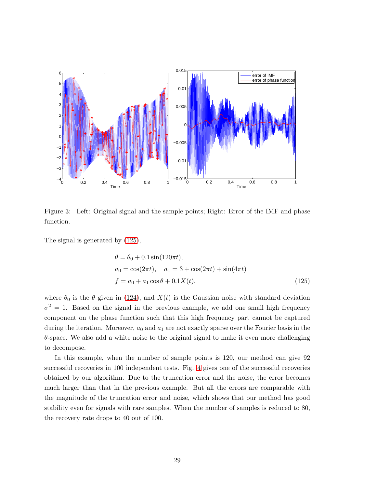

<span id="page-28-0"></span>Figure 3: Left: Original signal and the sample points; Right: Error of the IMF and phase function.

The signal is generated by [\(125\)](#page-28-1),

<span id="page-28-1"></span>
$$
\theta = \theta_0 + 0.1 \sin(120\pi t),
$$
  
\n
$$
a_0 = \cos(2\pi t), \quad a_1 = 3 + \cos(2\pi t) + \sin(4\pi t)
$$
  
\n
$$
f = a_0 + a_1 \cos \theta + 0.1X(t).
$$
\n(125)

where  $\theta_0$  is the  $\theta$  given in [\(124\)](#page-27-1), and  $X(t)$  is the Gaussian noise with standard deviation  $\sigma^2 = 1$ . Based on the signal in the previous example, we add one small high frequency component on the phase function such that this high frequency part cannot be captured during the iteration. Moreover,  $a_0$  and  $a_1$  are not exactly sparse over the Fourier basis in the  $\theta$ -space. We also add a white noise to the original signal to make it even more challenging to decompose.

In this example, when the number of sample points is 120, our method can give 92 successful recoveries in 100 independent tests. Fig. [4](#page-29-0) gives one of the successful recoveries obtained by our algorithm. Due to the truncation error and the noise, the error becomes much larger than that in the previous example. But all the errors are comparable with the magnitude of the truncation error and noise, which shows that our method has good stability even for signals with rare samples. When the number of samples is reduced to 80, the recovery rate drops to 40 out of 100.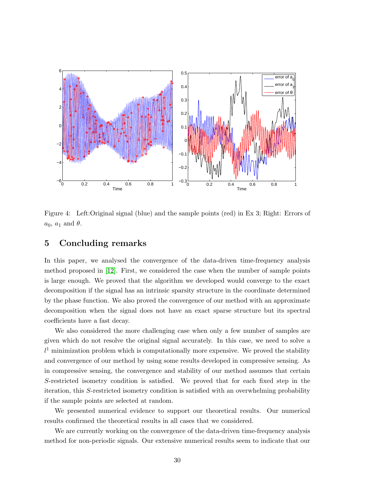

<span id="page-29-0"></span>Figure 4: Left:Original signal (blue) and the sample points (red) in Ex 3; Right: Errors of  $a_0$ ,  $a_1$  and  $\theta$ .

## 5 Concluding remarks

In this paper, we analysed the convergence of the data-driven time-frequency analysis method proposed in [\[12\]](#page-36-0). First, we considered the case when the number of sample points is large enough. We proved that the algorithm we developed would converge to the exact decomposition if the signal has an intrinsic sparsity structure in the coordinate determined by the phase function. We also proved the convergence of our method with an approximate decomposition when the signal does not have an exact sparse structure but its spectral coefficients have a fast decay.

We also considered the more challenging case when only a few number of samples are given which do not resolve the original signal accurately. In this case, we need to solve a  $l<sup>1</sup>$  minimization problem which is computationally more expensive. We proved the stability and convergence of our method by using some results developed in compressive sensing. As in compressive sensing, the convergence and stability of our method assumes that certain S-restricted isometry condition is satisfied. We proved that for each fixed step in the iteration, this S-restricted isometry condition is satisfied with an overwhelming probability if the sample points are selected at random.

We presented numerical evidence to support our theoretical results. Our numerical results confirmed the theoretical results in all cases that we considered.

We are currently working on the convergence of the data-driven time-frequency analysis method for non-periodic signals. Our extensive numerical results seem to indicate that our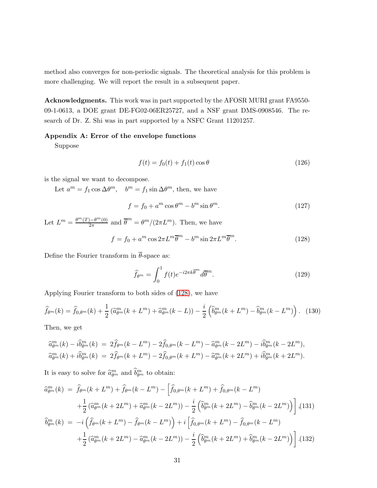method also converges for non-periodic signals. The theoretical analysis for this problem is more challenging. We will report the result in a subsequent paper.

Acknowledgments. This work was in part supported by the AFOSR MURI grant FA9550- 09-1-0613, a DOE grant DE-FG02-06ER25727, and a NSF grant DMS-0908546. The research of Dr. Z. Shi was in part supported by a NSFC Grant 11201257.

### Appendix A: Error of the envelope functions

Suppose

$$
f(t) = f_0(t) + f_1(t) \cos \theta \tag{126}
$$

is the signal we want to decompose.

Let  $a^m = f_1 \cos \Delta \theta^m$ ,  $b^m = f_1 \sin \Delta \theta^m$ , then, we have

$$
f = f_0 + a^m \cos \theta^m - b^m \sin \theta^m.
$$
 (127)

Let  $L^m = \frac{\theta^m(T) - \theta^m(0)}{2\pi}$  and  $\overline{\theta}^m = \theta^m/(2\pi L^m)$ . Then, we have

<span id="page-30-0"></span>
$$
f = f_0 + a^m \cos 2\pi L^m \overline{\theta}^m - b^m \sin 2\pi L^m \overline{\theta}^m.
$$
 (128)

Define the Fourier transform in  $\overline{\theta}$ -space as:

$$
\widehat{f}_{\theta^m} = \int_0^1 f(t)e^{-i2\pi k\overline{\theta}^m} d\overline{\theta}^m.
$$
\n(129)

Applying Fourier transform to both sides of [\(128\)](#page-30-0), we have

$$
\widehat{f}_{\theta^m}(k) = \widehat{f}_{0,\theta^m}(k) + \frac{1}{2} \left( \widehat{a}_{\theta^m}^m(k + L^m) + \widehat{a}_{\theta^m}^m(k - L) \right) - \frac{i}{2} \left( \widehat{b}_{\theta^m}^m(k + L^m) - \widehat{b}_{\theta^m}^m(k - L^m) \right). \tag{130}
$$

Then, we get

$$
\begin{aligned}\n\widehat{a}_{\theta^m}^m(k) - i \widehat{b}_{\theta^m}^m(k) &= 2 \widehat{f}_{\theta^m}(k - L^m) - 2 \widehat{f}_{0,\theta^m}(k - L^m) - \widehat{a}_{\theta^m}^m(k - 2L^m) - i \widehat{b}_{\theta^m}^m(k - 2L^m), \\
\widehat{a}_{\theta^m}^m(k) + i \widehat{b}_{\theta^m}^m(k) &= 2 \widehat{f}_{\theta^m}(k + L^m) - 2 \widehat{f}_{0,\theta^m}(k + L^m) - \widehat{a}_{\theta^m}^m(k + 2L^m) + i \widehat{b}_{\theta^m}^m(k + 2L^m).\n\end{aligned}
$$

It is easy to solve for  $\widehat{a}_{\theta^m}^m$  and  $\widehat{b}_{\theta^m}^m$  to obtain:

$$
\begin{split}\n\widehat{a}_{\theta^{m}}^{m}(k) &= \widehat{f}_{\theta^{m}}(k+L^{m}) + \widehat{f}_{\theta^{m}}(k-L^{m}) - \left[\widehat{f}_{0,\theta^{m}}(k+L^{m}) + \widehat{f}_{0,\theta^{m}}(k-L^{m})\right. \\
&\quad + \frac{1}{2} \left(\widehat{a}_{\theta^{m}}^{m}(k+2L^{m}) + \widehat{a}_{\theta^{m}}^{m}(k-2L^{m})\right) - \frac{i}{2} \left(\widehat{b}_{\theta^{m}}^{m}(k+2L^{m}) - \widehat{b}_{\theta^{m}}^{m}(k-2L^{m})\right) \right],\n\end{split}
$$
\n
$$
\begin{split}\n\widehat{b}_{\theta^{m}}^{m}(k) &= -i \left(\widehat{f}_{\theta^{m}}(k+L^{m}) - \widehat{f}_{\theta^{m}}(k-L^{m})\right) + i \left[\widehat{f}_{0,\theta^{m}}(k+L^{m}) - \widehat{f}_{0,\theta^{m}}(k-L^{m})\right. \\
&\quad + \frac{1}{2} \left(\widehat{a}_{\theta^{m}}^{m}(k+2L^{m}) - \widehat{a}_{\theta^{m}}^{m}(k-2L^{m})\right) - \frac{i}{2} \left(\widehat{b}_{\theta^{m}}^{m}(k+2L^{m}) + \widehat{b}_{\theta^{m}}^{m}(k-2L^{m})\right) \right].\n\end{split}
$$
\n(132)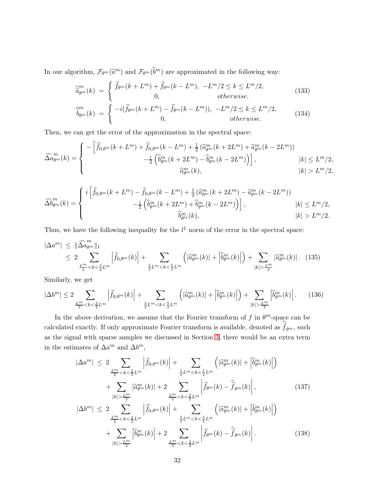In our algorithm,  $\mathcal{F}_{\theta^m}(\tilde{a}^m)$  and  $\mathcal{F}_{\theta^m}(\tilde{b}^m)$  are approximated in the following way:

$$
\widehat{a}_{\theta^m}^{m}(k) = \begin{cases} \widehat{f}_{\theta^m}(k+L^m) + \widehat{f}_{\theta^m}(k-L^m), & -L^m/2 \le k \le L^m/2, \\ 0, & \text{otherwise.} \end{cases}
$$
\n(133)

$$
\widehat{b}_{\theta^m}^{m}(k) = \begin{cases}\n-i(\widehat{f}_{\theta^m}(k+L^m) - \widehat{f}_{\theta^m}(k-L^m)), & -L^m/2 \le k \le L^m/2, \\
0, & \text{otherwise.}\n\end{cases}
$$
\n(134)

Then, we can get the error of the approximation in the spectral space:

$$
\widehat{\Delta a}_{\theta^m}^m(k) = \begin{cases}\n-\left[\widehat{f}_{0,\theta^m}(k+L^m) + \widehat{f}_{0,\theta^m}(k-L^m) + \frac{1}{2}\left(\widehat{a}_{\theta^m}^m(k+2L^m) + \widehat{a}_{\theta^m}^m(k-2L^m)\right)\right. \\
-\frac{i}{2}\left(\widehat{b}_{\theta^m}^m(k+2L^m) - \widehat{b}_{\theta^m}^m(k-2L^m)\right)\right], & |k| \le L^m/2, \\
\widehat{a}_{\theta^m}^m(k), & |k| > L^m/2.\n\end{cases}
$$

$$
\widehat{\Delta b}_{\theta^m}^m(k) = \begin{cases} i \left[ \widehat{f}_{0,\theta^m}(k+L^m) - \widehat{f}_{0,\theta^m}(k-L^m) + \frac{1}{2} \left( \widehat{a}_{\theta^m}^m(k+2L^m) - \widehat{a}_{\theta^m}^m(k-2L^m) \right) \right. \\ \left. - \frac{i}{2} \left( \widehat{b}_{\theta^m}^m(k+2L^m) + \widehat{b}_{\theta^m}^m(k-2L^m) \right) \right], & |k| \le L^m/2, \\ \left. \widehat{b}_{\theta^m}^m(k), & |k| > L^m/2. \end{cases}
$$

Thus, we have the following inequality for the  $l<sup>1</sup>$  norm of the error in the spectral space:

<span id="page-31-0"></span>
$$
|\Delta a^m| \leq \|\widehat{\Delta a}_{\theta^m}^m\|_1
$$
  
\n
$$
\leq 2 \sum_{\frac{L^m}{2} < k < \frac{3}{2} L^m} \left| \widehat{f}_{0,\theta^m}(k) \right| + \sum_{\frac{3}{2} L^m < k < \frac{5}{2} L^m} \left( |\widehat{a}_{\theta^m}^m(k)| + |\widehat{b}_{\theta^m}^m(k)| \right) + \sum_{|k| > \frac{L^m}{2}} |\widehat{a}_{\theta^m}^m(k)|. \tag{135}
$$

Similarly, we get

<span id="page-31-1"></span>
$$
|\Delta b^m| \le 2 \sum_{\frac{L^m}{2} < k < \frac{3}{2} L^m} \left| \widehat{f}_{0,\theta^m}(k) \right| + \sum_{\frac{3}{2} L^m < k < \frac{5}{2} L^m} \left( \left| \widehat{a}_{\theta^m}^m(k) \right| + \left| \widehat{b}_{\theta^m}^m(k) \right| \right) + \sum_{|k| > \frac{L^m}{2}} \left| \widehat{b}_{\theta^m}^m(k) \right| . \tag{136}
$$

In the above derivation, we assume that the Fourier transform of f in  $\theta^m$ -space can be calculated exactly. If only approximate Fourier transform is available, denoted as  $f_{\theta^m}$ , such as the signal with sparse samples we discussed in Section [3,](#page-16-1) there would be an extra term in the estimates of  $\Delta a^m$  and  $\Delta b^m$ ,

<span id="page-31-2"></span>
$$
|\Delta a^m| \leq 2 \sum_{\frac{L^m}{2} < k < \frac{3}{2} L^m} \left| \widehat{f}_{0,\theta^m}(k) \right| + \sum_{\frac{3}{2} L^m < k < \frac{5}{2} L^m} \left( |\widehat{a}_{\theta^m}^m(k)| + |\widehat{b}_{\theta^m}^m(k)| \right) + \sum_{|k| > \frac{L^m}{2}} |\widehat{a}_{\theta^m}^m(k)| + 2 \sum_{\frac{L^m}{2} < k < \frac{3}{2} L^m} \left| \widehat{f}_{\theta^m}(k) - \widehat{f}_{\theta^m}(k) \right|, \tag{137}
$$
\n
$$
|\Delta b^m| \leq 2 \sum_{\frac{L^m}{2} < k < \frac{3}{2} L^m} \left| \widehat{f}_{0,\theta^m}(k) \right| + \sum_{\frac{3}{2} L^m < k < \frac{5}{2} L^m} \left( |\widehat{a}_{\theta^m}^m(k)| + |\widehat{b}_{\theta^m}^m(k)| \right) + \sum_{|k| > \frac{L^m}{2}} \left| \widehat{b}_{\theta^m}^m(k) \right| + 2 \sum_{\frac{L^m}{2} < k < \frac{3}{2} L^m} \left| \widehat{f}_{\theta^m}(k) - \widehat{f}_{\theta^m}(k) \right|.
$$
\n(138)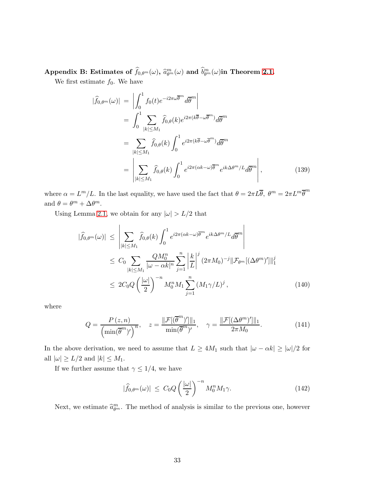Appendix B: Estimates of  $\widehat{f}_{0,\theta^m}(\omega),\ \widehat{a}^m_{\theta^m}(\omega)$  and  $\widehat{b}^m_{\theta^m}(\omega)$ in Theorem [2.1.](#page-6-1)

We first estimate  $f_0$ . We have

$$
\begin{split}\n|\widehat{f}_{0,\theta^m}(\omega)| &= \left| \int_0^1 f_0(t) e^{-i2\pi\omega \overline{\theta}^m} d\overline{\theta}^m \right| \\
&= \int_0^1 \sum_{|k| \le M_1} \widehat{f}_{0,\theta}(k) e^{i2\pi(k\overline{\theta} - \omega \overline{\theta}^m)} d\overline{\theta}^m \\
&= \sum_{|k| \le M_1} \widehat{f}_{0,\theta}(k) \int_0^1 e^{i2\pi(k\overline{\theta} - \omega \overline{\theta}^m)} d\overline{\theta}^m \\
&= \left| \sum_{|k| \le M_1} \widehat{f}_{0,\theta}(k) \int_0^1 e^{i2\pi(\alpha k - \omega) \overline{\theta}^m} e^{ik\Delta\theta^m/L} d\overline{\theta}^m \right|,\n\end{split} \tag{139}
$$

where  $\alpha = L^m/L$ . In the last equality, we have used the fact that  $\theta = 2\pi L\overline{\theta}$ ,  $\theta^m = 2\pi L^m \overline{\theta}^m$ and  $\theta = \theta^m + \Delta \theta^m$ .

Using Lemma [2.1,](#page-6-0) we obtain for any  $|\omega| > L/2$  that

$$
|\widehat{f}_{0,\theta^m}(\omega)| \leq \left| \sum_{|k| \leq M_1} \widehat{f}_{0,\theta}(k) \int_0^1 e^{i2\pi(\alpha k - \omega)\overline{\theta}^m} e^{ik\Delta\theta^m/L} d\overline{\theta}^m \right|
$$
  
\n
$$
\leq C_0 \sum_{|k| \leq M_1} \frac{QM_0^n}{|\omega - \alpha k|^n} \sum_{j=1}^n \left| \frac{k}{L} \right|^j (2\pi M_0)^{-j} ||\mathcal{F}_{\theta^m}[(\Delta\theta^m)']||_1^j
$$
  
\n
$$
\leq 2C_0 Q \left( \frac{|\omega|}{2} \right)^{-n} M_0^n M_1 \sum_{j=1}^n (M_1 \gamma/L)^j , \qquad (140)
$$

where

$$
Q = \frac{P(z, n)}{\left(\min(\overline{\theta}^m)'\right)^n}, \quad z = \frac{\|\mathcal{F}[(\overline{\theta}^m)']\|_1}{\min(\overline{\theta}^m)'}, \quad \gamma = \frac{\|\mathcal{F}[(\Delta \theta^m)']\|_1}{2\pi M_0}.
$$
 (141)

In the above derivation, we need to assume that  $L \ge 4M_1$  such that  $|\omega - \alpha k| \ge |\omega|/2$  for all  $|\omega| \ge L/2$  and  $|k| \le M_1$ .

If we further assume that  $\gamma \leq 1/4$ , we have

$$
|\widehat{f}_{0,\theta^m}(\omega)| \leq C_0 Q \left(\frac{|\omega|}{2}\right)^{-n} M_0^n M_1 \gamma. \tag{142}
$$

Next, we estimate  $\hat{a}_{\theta^m}^m$ . The method of analysis is similar to the previous one, however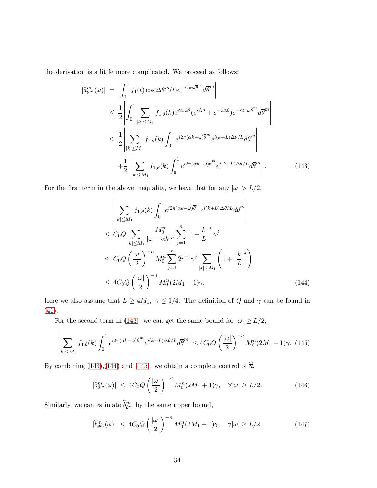the derivation is a little more complicated. We proceed as follows:

<span id="page-33-0"></span>
$$
\begin{split}\n|\widehat{a}_{\theta^{m}}^{m}(\omega)| &= \left| \int_{0}^{1} f_{1}(t) \cos \Delta \theta^{m}(t) e^{-i2\pi \omega \overline{\theta}^{m}} d\overline{\theta}^{m} \right| \\
&\leq \frac{1}{2} \left| \int_{0}^{1} \sum_{|k| \leq M_{1}} f_{1,\theta}(k) e^{i2\pi k \overline{\theta}} (e^{i\Delta \theta} + e^{-i\Delta \theta}) e^{-i2\pi \omega \overline{\theta}^{m}} d\overline{\theta}^{m} \right| \\
&\leq \frac{1}{2} \left| \sum_{|k| \leq M_{1}} f_{1,\theta}(k) \int_{0}^{1} e^{i2\pi (\alpha k - \omega) \overline{\theta}^{m}} e^{i(k+L) \Delta \theta / L} d\overline{\theta}^{m} \right| \\
&+ \frac{1}{2} \left| \sum_{|k| \leq M_{1}} f_{1,\theta}(k) \int_{0}^{1} e^{i2\pi (\alpha k - \omega) \overline{\theta}^{m}} e^{i(k-L) \Delta \theta / L} d\overline{\theta}^{m} \right|.\n\end{split} \tag{143}
$$

For the first term in the above inequality, we have that for any  $|\omega| > L/2,$ 

<span id="page-33-1"></span>
$$
\left| \sum_{|k| \le M_1} f_{1,\theta}(k) \int_0^1 e^{i2\pi (\alpha k - \omega)\overline{\theta}^m} e^{i(k+L)\Delta\theta/L} d\overline{\theta}^m \right|
$$
  
\n
$$
\le C_0 Q \sum_{|k| \le M_1} \frac{M_0^n}{|\omega - \alpha k|^n} \sum_{j=1}^n \left| 1 + \frac{k}{L} \right|^j \gamma^j
$$
  
\n
$$
\le C_0 Q \left( \frac{|\omega|}{2} \right)^{-n} M_0^n \sum_{j=1}^n 2^{j-1} \gamma^j \sum_{|k| \le M_1} \left( 1 + \left| \frac{k}{L} \right|^j \right)
$$
  
\n
$$
\le 4C_0 Q \left( \frac{|\omega|}{2} \right)^{-n} M_0^n (2M_1 + 1) \gamma.
$$
 (144)

Here we also assume that  $L \ge 4M_1$ ,  $\gamma \le 1/4$ . The definition of Q and  $\gamma$  can be found in [\(41\)](#page-9-4).

For the second term in [\(143\)](#page-33-0), we can get the same bound for  $|\omega| \ge L/2$ ,

<span id="page-33-2"></span>
$$
\left| \sum_{|k| \le M_1} f_{1,\theta}(k) \int_0^1 e^{i2\pi(\alpha k - \omega)\overline{\theta}^m} e^{i(k-L)\Delta\theta/L} d\overline{\theta}^m \right| \le 4C_0 Q \left( \frac{|\omega|}{2} \right)^{-n} M_0^n (2M_1 + 1)\gamma. \tag{145}
$$

By combining [\(143\)](#page-33-0),[\(144\)](#page-33-1) and [\(145\)](#page-33-2), we obtain a complete control of  $\hat{\overline{a}}$ ,

$$
|\widehat{a}_{\theta^m}^m(\omega)| \le 4C_0 Q \left(\frac{|\omega|}{2}\right)^{-n} M_0^n (2M_1 + 1)\gamma, \quad \forall |\omega| \ge L/2. \tag{146}
$$

Similarly, we can estimate  $\hat{b}_{\theta^m}^m$  by the same upper bound,

$$
|\widehat{b}_{\theta^m}^m(\omega)| \le 4C_0 Q \left(\frac{|\omega|}{2}\right)^{-n} M_0^n (2M_1 + 1)\gamma, \quad \forall |\omega| \ge L/2. \tag{147}
$$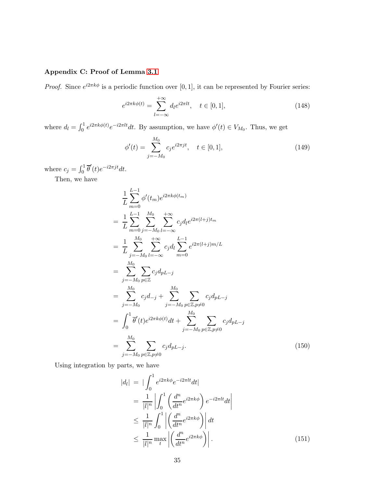# Appendix C: Proof of Lemma [3.1](#page-20-1)

*Proof.* Since  $e^{i2\pi k\phi}$  is a periodic function over [0, 1], it can be represented by Fourier series:

$$
e^{i2\pi k\phi(t)} = \sum_{l=-\infty}^{+\infty} d_l e^{i2\pi lt}, \quad t \in [0,1],
$$
\n(148)

where  $d_l = \int_0^1 e^{i2\pi k\phi(t)} e^{-i2\pi lt} dt$ . By assumption, we have  $\phi'(t) \in V_{M_0}$ . Thus, we get

$$
\phi'(t) = \sum_{j=-M_0}^{M_0} c_j e^{i2\pi j t}, \quad t \in [0,1],
$$
\n(149)

where  $c_j = \int_0^1 \overline{\theta}'(t) e^{-i2\pi jt} dt$ .

Then, we have

$$
\frac{1}{L} \sum_{m=0}^{L-1} \phi'(t_m) e^{i2\pi k\phi(t_m)} \n= \frac{1}{L} \sum_{m=0}^{L-1} \sum_{j=-M_0}^{M_0} \sum_{l=-\infty}^{+\infty} c_j d_l e^{i2\pi (l+j)t_m} \n= \frac{1}{L} \sum_{j=-M_0}^{M_0} \sum_{l=-\infty}^{+\infty} c_j d_l \sum_{m=0}^{L-1} e^{i2\pi (l+j)m/L} \n= \sum_{j=-M_0}^{M_0} \sum_{p \in \mathbb{Z}} c_j d_{pL-j} \n= \sum_{j=-M_0}^{M_0} c_j d_{-j} + \sum_{j=-M_0}^{M_0} \sum_{p \in \mathbb{Z}, p \neq 0} c_j d_{pL-j} \n= \int_0^1 \overline{\theta}'(t) e^{i2\pi k\phi(t)} dt + \sum_{j=-M_0}^{M_0} \sum_{p \in \mathbb{Z}, p \neq 0} c_j d_{pL-j} \n= \sum_{j=-M_0}^{M_0} \sum_{p \in \mathbb{Z}, p \neq 0} c_j d_{pL-j}.
$$
\n(150)

Using integration by parts, we have

$$
|d_l| = \left| \int_0^1 e^{i2\pi k\phi} e^{-i2\pi lt} dt \right|
$$
  
\n
$$
= \frac{1}{|l|^n} \left| \int_0^1 \left( \frac{d^n}{dt^n} e^{i2\pi k\phi} \right) e^{-i2\pi lt} dt \right|
$$
  
\n
$$
\leq \frac{1}{|l|^n} \int_0^1 \left| \left( \frac{d^n}{dt^n} e^{i2\pi k\phi} \right) \right| dt
$$
  
\n
$$
\leq \frac{1}{|l|^n} \max_t \left| \left( \frac{d^n}{dt^n} e^{i2\pi k\phi} \right) \right|.
$$
 (151)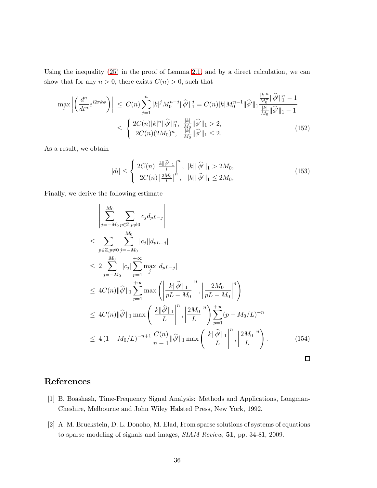Using the inequality [\(25\)](#page-7-0) in the proof of Lemma [2.1,](#page-6-0) and by a direct calculation, we can show that for any  $n > 0$ , there exists  $C(n) > 0$ , such that

$$
\max_{t} \left| \left( \frac{d^{n}}{dt^{n}} e^{i2\pi k\phi} \right) \right| \leq C(n) \sum_{j=1}^{n} |k|^{j} M_{0}^{n-j} \|\widehat{\phi}'\|_{1}^{j} = C(n) |k| M_{0}^{n-1} \|\widehat{\phi}'\|_{1} \frac{|k|^{n}}{M_{0}^{n}} \|\widehat{\phi}'\|_{1}^{n} - 1
$$
\n
$$
\leq \begin{cases} 2C(n) |k|^{n} \|\widehat{\phi}'\|_{1}^{n}, & \frac{|k|}{M_{0}} \|\widehat{\phi}'\|_{1} > 2, \\ 2C(n) (2M_{0})^{n}, & \frac{|k|}{M_{0}} \|\widehat{\phi}'\|_{1} \leq 2. \end{cases} \tag{152}
$$

As a result, we obtain

$$
|d_l| \leq \begin{cases} 2C(n) \left| \frac{k \|\hat{\phi}'\|_1}{l} \right|^n, & |k| \|\hat{\phi}'\|_1 > 2M_0, \\ 2C(n) \left| \frac{2M_0}{l} \right|^n, & |k| \|\hat{\phi}'\|_1 \leq 2M_0, \end{cases}
$$
(153)

Finally, we derive the following estimate

$$
\left| \sum_{j=-M_0}^{M_0} \sum_{p \in \mathbb{Z}, p \neq 0} c_j d_{pL-j} \right|
$$
\n
$$
\leq \sum_{p \in \mathbb{Z}, p \neq 0} \sum_{j=-M_0}^{M_0} |c_j| |d_{pL-j}|
$$
\n
$$
\leq 2 \sum_{j=-M_0}^{M_0} |c_j| \sum_{p=1}^{+\infty} \max_{j} |d_{pL-j}|
$$
\n
$$
\leq 4C(n) ||\widehat{\phi}'||_1 \sum_{p=1}^{+\infty} \max \left( \left| \frac{k ||\widehat{\phi}'||_1}{pL - M_0} \right|^n, \left| \frac{2M_0}{pL - M_0} \right|^n \right)
$$
\n
$$
\leq 4C(n) ||\widehat{\phi}'||_1 \max \left( \left| \frac{k ||\widehat{\phi}'||_1}{L} \right|^n, \left| \frac{2M_0}{L} \right|^n \right) \sum_{p=1}^{+\infty} (p - M_0/L)^{-n}
$$
\n
$$
\leq 4(1 - M_0/L)^{-n+1} \frac{C(n)}{n-1} ||\widehat{\phi}'||_1 \max \left( \left| \frac{k ||\widehat{\phi}'||_1}{L} \right|^n, \left| \frac{2M_0}{L} \right|^n \right).
$$
\n(154)

# <span id="page-35-0"></span>References

- <span id="page-35-1"></span>[1] B. Boashash, Time-Frequency Signal Analysis: Methods and Applications, Longman-Cheshire, Melbourne and John Wiley Halsted Press, New York, 1992.
- [2] A. M. Bruckstein, D. L. Donoho, M. Elad, From sparse solutions of systems of equations to sparse modeling of signals and images, SIAM Review, 51, pp. 34-81, 2009.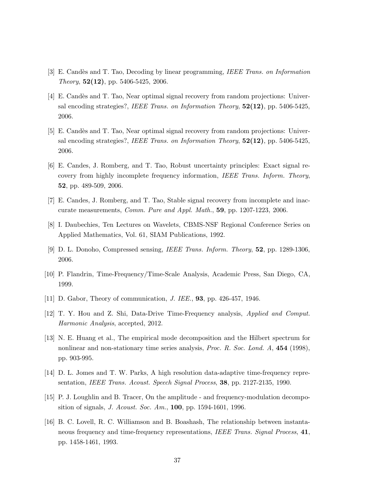- <span id="page-36-13"></span><span id="page-36-11"></span>[3] E. Candès and T. Tao, Decoding by linear programming, IEEE Trans. on Information Theory,  $52(12)$ , pp. 5406-5425, 2006.
- [4] E. Candès and T. Tao, Near optimal signal recovery from random projections: Universal encoding strategies?, IEEE Trans. on Information Theory, 52(12), pp. 5406-5425, 2006.
- <span id="page-36-9"></span>[5] E. Candès and T. Tao, Near optimal signal recovery from random projections: Universal encoding strategies?, IEEE Trans. on Information Theory,  $52(12)$ , pp. 5406-5425, 2006.
- <span id="page-36-8"></span>[6] E. Candes, J. Romberg, and T. Tao, Robust uncertainty principles: Exact signal recovery from highly incomplete frequency information, IEEE Trans. Inform. Theory, 52, pp. 489-509, 2006.
- <span id="page-36-12"></span><span id="page-36-3"></span>[7] E. Candes, J. Romberg, and T. Tao, Stable signal recovery from incomplete and inaccurate measurements, Comm. Pure and Appl. Math., 59, pp. 1207-1223, 2006.
- <span id="page-36-10"></span>[8] I. Daubechies, Ten Lectures on Wavelets, CBMS-NSF Regional Conference Series on Applied Mathematics, Vol. 61, SIAM Publications, 1992.
- <span id="page-36-1"></span>[9] D. L. Donoho, Compressed sensing, IEEE Trans. Inform. Theory, 52, pp. 1289-1306, 2006.
- <span id="page-36-4"></span>[10] P. Flandrin, Time-Frequency/Time-Scale Analysis, Academic Press, San Diego, CA, 1999.
- <span id="page-36-0"></span>[11] D. Gabor, Theory of communication, J. IEE., 93, pp. 426-457, 1946.
- <span id="page-36-7"></span>[12] T. Y. Hou and Z. Shi, Data-Drive Time-Frequency analysis, Applied and Comput. Harmonic Analysis, accepted, 2012.
- [13] N. E. Huang et al., The empirical mode decomposition and the Hilbert spectrum for nonlinear and non-stationary time series analysis, *Proc. R. Soc. Lond. A*, **454** (1998), pp. 903-995.
- <span id="page-36-6"></span><span id="page-36-2"></span>[14] D. L. Jomes and T. W. Parks, A high resolution data-adaptive time-frequency representation, IEEE Trans. Acoust. Speech Signal Process, 38, pp. 2127-2135, 1990.
- <span id="page-36-5"></span>[15] P. J. Loughlin and B. Tracer, On the amplitude - and frequency-modulation decomposition of signals, J. Acoust. Soc. Am., 100, pp. 1594-1601, 1996.
- [16] B. C. Lovell, R. C. Williamson and B. Boashash, The relationship between instantaneous frequency and time-frequency representations, IEEE Trans. Signal Process, 41, pp. 1458-1461, 1993.